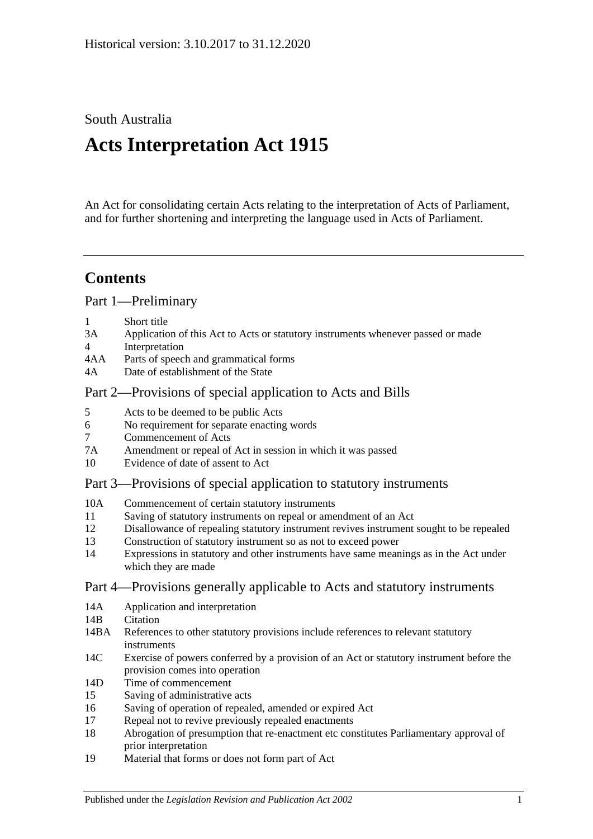## South Australia

# **Acts Interpretation Act 1915**

An Act for consolidating certain Acts relating to the interpretation of Acts of Parliament, and for further shortening and interpreting the language used in Acts of Parliament.

## **Contents**

[Part 1—Preliminary](#page-1-0)

- 1 [Short title](#page-1-1)
- 3A [Application of this Act to Acts or statutory instruments whenever passed or made](#page-1-2)
- 4 [Interpretation](#page-2-0)
- 4AA [Parts of speech and grammatical forms](#page-6-0)
- 4A [Date of establishment of the State](#page-7-0)

## [Part 2—Provisions of special application to Acts and Bills](#page-7-1)

- 5 [Acts to be deemed to be public Acts](#page-7-2)
- 6 [No requirement for separate enacting words](#page-7-3)
- 7 [Commencement of Acts](#page-7-4)
- 7A [Amendment or repeal of Act in session in which it was passed](#page-7-5)
- 10 [Evidence of date of assent to Act](#page-8-0)

## [Part 3—Provisions of special application to statutory instruments](#page-8-1)

- 10A [Commencement of certain statutory instruments](#page-8-2)
- 11 [Saving of statutory instruments on repeal or amendment of an Act](#page-8-3)
- 12 [Disallowance of repealing statutory instrument revives instrument sought to](#page-8-4) be repealed
- 13 [Construction of statutory instrument so as not to exceed power](#page-8-5)
- 14 [Expressions in statutory and other instruments have same meanings as in the Act under](#page-9-0)  [which they are made](#page-9-0)

## [Part 4—Provisions generally applicable to Acts and statutory instruments](#page-9-1)

- 14A [Application and interpretation](#page-9-2)
- 14R [Citation](#page-9-3)
- 14BA [References to other statutory provisions include references to relevant statutory](#page-10-0)  [instruments](#page-10-0)
- 14C [Exercise of powers conferred by a provision of an Act or statutory instrument before the](#page-10-1)  [provision comes into operation](#page-10-1)
- 14D [Time of commencement](#page-10-2)
- 15 [Saving of administrative acts](#page-11-0)
- 16 [Saving of operation of repealed, amended or expired Act](#page-11-1)
- 17 [Repeal not to revive previously repealed enactments](#page-12-0)
- 18 [Abrogation of presumption that re-enactment etc constitutes Parliamentary approval of](#page-12-1)  [prior interpretation](#page-12-1)
- 19 [Material that forms or does not form part of Act](#page-12-2)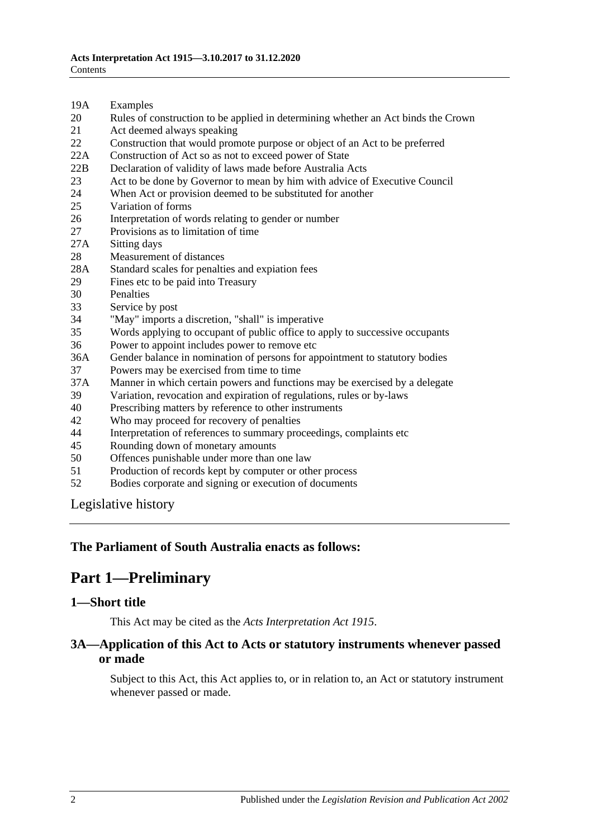- 19A [Examples](#page-12-3)
- 20 [Rules of construction to be applied in determining whether an Act binds the Crown](#page-13-0)
- 21 [Act deemed always speaking](#page-13-1)
- 22 [Construction that would promote purpose or object of an Act to be preferred](#page-13-2)
- 22A [Construction of Act so as not to exceed power of State](#page-13-3)
- 22B [Declaration of validity of laws made before Australia Acts](#page-14-0)
- 23 [Act to be done by Governor to mean by him with advice of Executive Council](#page-14-1)
- 24 [When Act or provision deemed to be substituted for another](#page-14-2)<br>25 Variation of forms
- [Variation of forms](#page-14-3)
- 26 [Interpretation of words relating to gender or number](#page-14-4)
- 27 [Provisions as to limitation of time](#page-15-0)
- 27A [Sitting days](#page-15-1)
- 28 [Measurement of distances](#page-15-2)
- 28A [Standard scales for penalties and expiation fees](#page-15-3)
- 29 [Fines etc to be paid into Treasury](#page-16-0)
- 
- 30 [Penalties](#page-16-1)<br>33 Service b [Service by post](#page-16-2)
- 34 ["May" imports a discretion, "shall" is imperative](#page-17-0)
- 35 [Words applying to occupant of public office to apply to successive occupants](#page-17-1)
- 36 [Power to appoint includes power to remove etc](#page-17-2)
- 36A [Gender balance in nomination of persons for appointment to statutory bodies](#page-17-3)
- 37 [Powers may be exercised from time to time](#page-18-0)
- 37A [Manner in which certain powers and functions may be exercised by a delegate](#page-18-1)
- 39 [Variation, revocation and expiration of regulations, rules or by-laws](#page-18-2)
- 40 [Prescribing matters by reference to other instruments](#page-19-0)
- 42 [Who may proceed for recovery of penalties](#page-19-1)
- 44 [Interpretation of references to summary proceedings, complaints](#page-19-2) etc
- 45 [Rounding down of monetary amounts](#page-20-0)
- 50 [Offences punishable under more than one law](#page-20-1)
- 51 [Production of records kept by computer or other process](#page-20-2)
- 52 [Bodies corporate and signing or execution of documents](#page-20-3)

[Legislative history](#page-21-0)

#### <span id="page-1-0"></span>**The Parliament of South Australia enacts as follows:**

## **Part 1—Preliminary**

#### <span id="page-1-1"></span>**1—Short title**

This Act may be cited as the *Acts Interpretation Act 1915*.

#### <span id="page-1-2"></span>**3A—Application of this Act to Acts or statutory instruments whenever passed or made**

Subject to this Act, this Act applies to, or in relation to, an Act or statutory instrument whenever passed or made.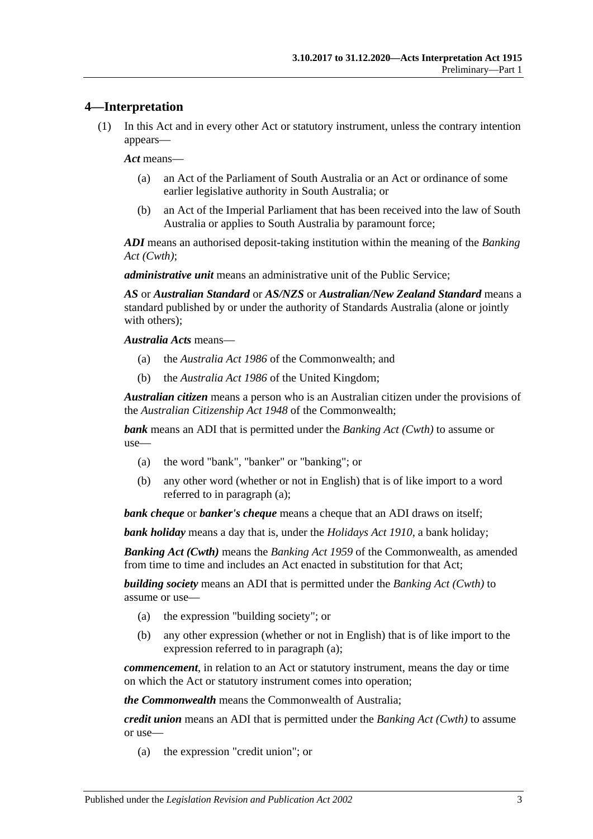## <span id="page-2-0"></span>**4—Interpretation**

(1) In this Act and in every other Act or statutory instrument, unless the contrary intention appears—

*Act* means—

- (a) an Act of the Parliament of South Australia or an Act or ordinance of some earlier legislative authority in South Australia; or
- (b) an Act of the Imperial Parliament that has been received into the law of South Australia or applies to South Australia by paramount force;

*ADI* means an authorised deposit-taking institution within the meaning of the *Banking Act (Cwth)*;

*administrative unit* means an administrative unit of the Public Service;

*AS* or *Australian Standard* or *AS/NZS* or *Australian/New Zealand Standard* means a standard published by or under the authority of Standards Australia (alone or jointly with others);

*Australia Acts* means—

- (a) the *Australia Act 1986* of the Commonwealth; and
- (b) the *Australia Act 1986* of the United Kingdom;

*Australian citizen* means a person who is an Australian citizen under the provisions of the *Australian Citizenship Act 1948* of the Commonwealth;

<span id="page-2-1"></span>*bank* means an ADI that is permitted under the *Banking Act (Cwth)* to assume or use—

- (a) the word "bank", "banker" or "banking"; or
- (b) any other word (whether or not in English) that is of like import to a word referred to in [paragraph](#page-2-1) (a);

*bank cheque* or *banker's cheque* means a cheque that an ADI draws on itself;

*bank holiday* means a day that is, under the *[Holidays Act](http://www.legislation.sa.gov.au/index.aspx?action=legref&type=act&legtitle=Holidays%20Act%201910) 1910*, a bank holiday;

*Banking Act (Cwth)* means the *Banking Act 1959* of the Commonwealth, as amended from time to time and includes an Act enacted in substitution for that Act;

<span id="page-2-2"></span>*building society* means an ADI that is permitted under the *Banking Act (Cwth)* to assume or use—

- (a) the expression "building society"; or
- (b) any other expression (whether or not in English) that is of like import to the expression referred to in [paragraph](#page-2-2) (a);

*commencement*, in relation to an Act or statutory instrument, means the day or time on which the Act or statutory instrument comes into operation;

*the Commonwealth* means the Commonwealth of Australia;

<span id="page-2-3"></span>*credit union* means an ADI that is permitted under the *Banking Act (Cwth)* to assume or use—

(a) the expression "credit union"; or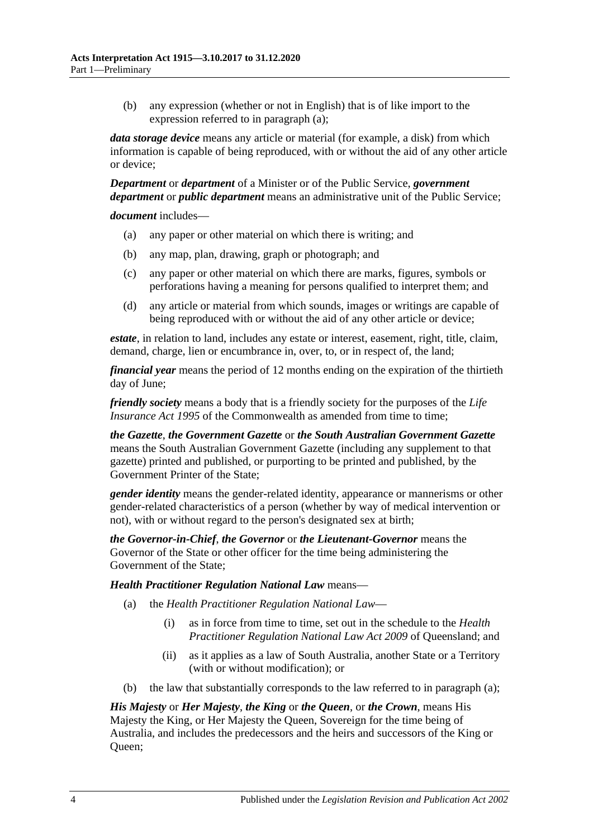(b) any expression (whether or not in English) that is of like import to the expression referred to in [paragraph](#page-2-3) (a);

*data storage device* means any article or material (for example, a disk) from which information is capable of being reproduced, with or without the aid of any other article or device;

*Department* or *department* of a Minister or of the Public Service, *government department* or *public department* means an administrative unit of the Public Service;

*document* includes—

- (a) any paper or other material on which there is writing; and
- (b) any map, plan, drawing, graph or photograph; and
- (c) any paper or other material on which there are marks, figures, symbols or perforations having a meaning for persons qualified to interpret them; and
- (d) any article or material from which sounds, images or writings are capable of being reproduced with or without the aid of any other article or device;

*estate*, in relation to land, includes any estate or interest, easement, right, title, claim, demand, charge, lien or encumbrance in, over, to, or in respect of, the land;

*financial year* means the period of 12 months ending on the expiration of the thirtieth day of June;

*friendly society* means a body that is a friendly society for the purposes of the *Life Insurance Act* 1995 of the Commonwealth as amended from time to time:

*the Gazette*, *the Government Gazette* or *the South Australian Government Gazette* means the South Australian Government Gazette (including any supplement to that gazette) printed and published, or purporting to be printed and published, by the Government Printer of the State;

*gender identity* means the gender-related identity, appearance or mannerisms or other gender-related characteristics of a person (whether by way of medical intervention or not), with or without regard to the person's designated sex at birth;

*the Governor-in-Chief*, *the Governor* or *the Lieutenant-Governor* means the Governor of the State or other officer for the time being administering the Government of the State;

#### <span id="page-3-0"></span>*Health Practitioner Regulation National Law* means—

- (a) the *Health Practitioner Regulation National Law*
	- (i) as in force from time to time, set out in the schedule to the *Health Practitioner Regulation National Law Act 2009* of Queensland; and
	- (ii) as it applies as a law of South Australia, another State or a Territory (with or without modification); or
- (b) the law that substantially corresponds to the law referred to in [paragraph](#page-3-0) (a);

*His Majesty* or *Her Majesty*, *the King* or *the Queen*, or *the Crown*, means His Majesty the King, or Her Majesty the Queen, Sovereign for the time being of Australia, and includes the predecessors and the heirs and successors of the King or Queen;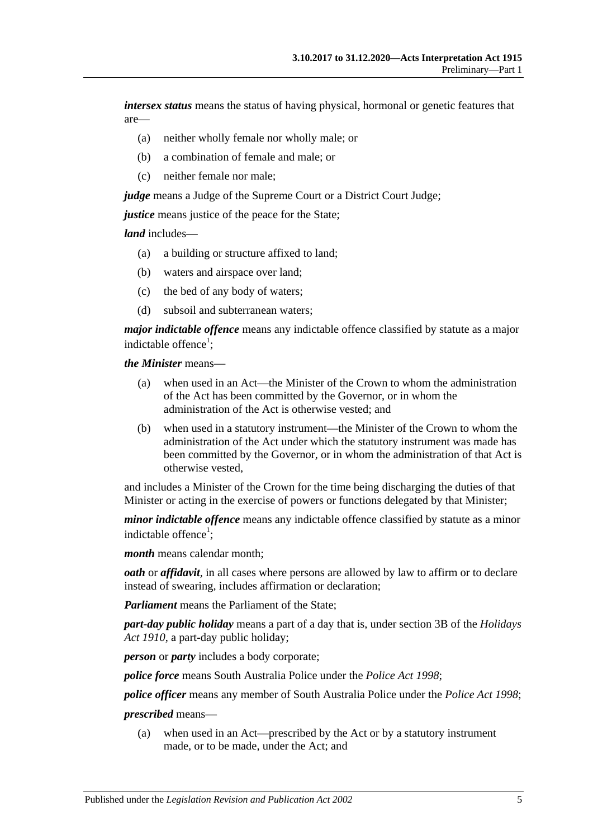*intersex status* means the status of having physical, hormonal or genetic features that are—

- (a) neither wholly female nor wholly male; or
- (b) a combination of female and male; or
- (c) neither female nor male;

*judge* means a Judge of the Supreme Court or a District Court Judge;

*justice* means justice of the peace for the State:

*land* includes—

- (a) a building or structure affixed to land;
- (b) waters and airspace over land;
- (c) the bed of any body of waters;
- (d) subsoil and subterranean waters;

*major indictable offence* means any indictable offence classified by statute as a major indictable offence<sup>1</sup>;

*the Minister* means—

- (a) when used in an Act—the Minister of the Crown to whom the administration of the Act has been committed by the Governor, or in whom the administration of the Act is otherwise vested; and
- (b) when used in a statutory instrument—the Minister of the Crown to whom the administration of the Act under which the statutory instrument was made has been committed by the Governor, or in whom the administration of that Act is otherwise vested,

and includes a Minister of the Crown for the time being discharging the duties of that Minister or acting in the exercise of powers or functions delegated by that Minister;

*minor indictable offence* means any indictable offence classified by statute as a minor indictable offence<sup>1</sup>;

*month* means calendar month;

*oath* or *affidavit*, in all cases where persons are allowed by law to affirm or to declare instead of swearing, includes affirmation or declaration;

*Parliament* means the Parliament of the State;

*part-day public holiday* means a part of a day that is, under section 3B of the *[Holidays](http://www.legislation.sa.gov.au/index.aspx?action=legref&type=act&legtitle=Holidays%20Act%201910)  Act [1910](http://www.legislation.sa.gov.au/index.aspx?action=legref&type=act&legtitle=Holidays%20Act%201910)*, a part-day public holiday;

*person* or *party* includes a body corporate;

*police force* means South Australia Police under the *[Police Act](http://www.legislation.sa.gov.au/index.aspx?action=legref&type=act&legtitle=Police%20Act%201998) 1998*;

*police officer* means any member of South Australia Police under the *[Police Act](http://www.legislation.sa.gov.au/index.aspx?action=legref&type=act&legtitle=Police%20Act%201998) 1998*;

#### *prescribed* means—

(a) when used in an Act—prescribed by the Act or by a statutory instrument made, or to be made, under the Act; and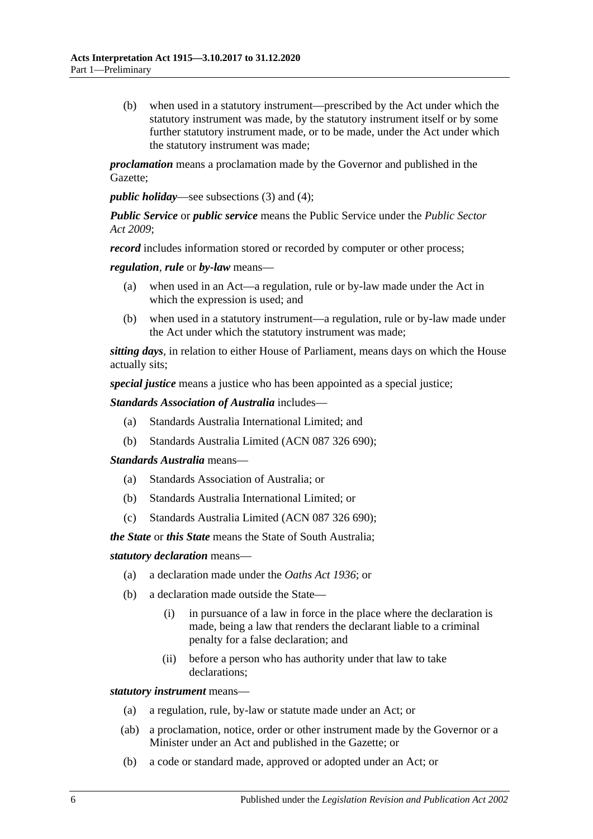(b) when used in a statutory instrument—prescribed by the Act under which the statutory instrument was made, by the statutory instrument itself or by some further statutory instrument made, or to be made, under the Act under which the statutory instrument was made;

*proclamation* means a proclamation made by the Governor and published in the Gazette;

*public holiday*—see [subsections](#page-6-1) (3) and [\(4\);](#page-6-2)

*Public Service* or *public service* means the Public Service under the *[Public Sector](http://www.legislation.sa.gov.au/index.aspx?action=legref&type=act&legtitle=Public%20Sector%20Act%202009)  Act [2009](http://www.legislation.sa.gov.au/index.aspx?action=legref&type=act&legtitle=Public%20Sector%20Act%202009)*;

*record* includes information stored or recorded by computer or other process;

*regulation*, *rule* or *by-law* means—

- (a) when used in an Act—a regulation, rule or by-law made under the Act in which the expression is used; and
- (b) when used in a statutory instrument—a regulation, rule or by-law made under the Act under which the statutory instrument was made;

*sitting days*, in relation to either House of Parliament, means days on which the House actually sits;

*special justice* means a justice who has been appointed as a special justice;

*Standards Association of Australia* includes—

- (a) Standards Australia International Limited; and
- (b) Standards Australia Limited (ACN 087 326 690);

*Standards Australia* means—

- (a) Standards Association of Australia; or
- (b) Standards Australia International Limited; or
- (c) Standards Australia Limited (ACN 087 326 690);

*the State* or *this State* means the State of South Australia;

*statutory declaration* means—

- (a) a declaration made under the *[Oaths Act](http://www.legislation.sa.gov.au/index.aspx?action=legref&type=act&legtitle=Oaths%20Act%201936) 1936*; or
- (b) a declaration made outside the State—
	- (i) in pursuance of a law in force in the place where the declaration is made, being a law that renders the declarant liable to a criminal penalty for a false declaration; and
	- (ii) before a person who has authority under that law to take declarations;

*statutory instrument* means—

- (a) a regulation, rule, by-law or statute made under an Act; or
- (ab) a proclamation, notice, order or other instrument made by the Governor or a Minister under an Act and published in the Gazette; or
- (b) a code or standard made, approved or adopted under an Act; or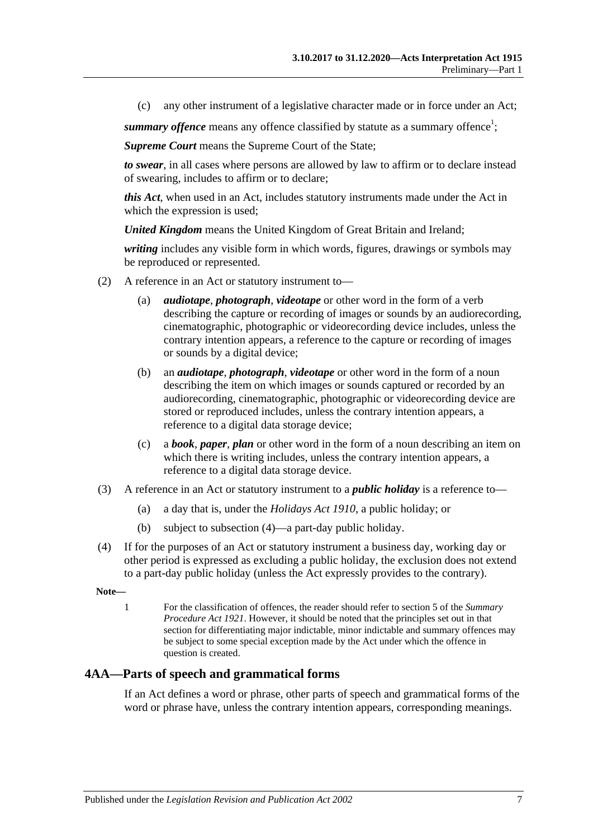(c) any other instrument of a legislative character made or in force under an Act;

summary offence means any offence classified by statute as a summary offence<sup>1</sup>;

*Supreme Court* means the Supreme Court of the State;

*to swear*, in all cases where persons are allowed by law to affirm or to declare instead of swearing, includes to affirm or to declare;

*this Act*, when used in an Act, includes statutory instruments made under the Act in which the expression is used;

*United Kingdom* means the United Kingdom of Great Britain and Ireland;

*writing* includes any visible form in which words, figures, drawings or symbols may be reproduced or represented.

- (2) A reference in an Act or statutory instrument to—
	- (a) *audiotape*, *photograph*, *videotape* or other word in the form of a verb describing the capture or recording of images or sounds by an audiorecording, cinematographic, photographic or videorecording device includes, unless the contrary intention appears, a reference to the capture or recording of images or sounds by a digital device;
	- (b) an *audiotape*, *photograph*, *videotape* or other word in the form of a noun describing the item on which images or sounds captured or recorded by an audiorecording, cinematographic, photographic or videorecording device are stored or reproduced includes, unless the contrary intention appears, a reference to a digital data storage device;
	- (c) a *book*, *paper*, *plan* or other word in the form of a noun describing an item on which there is writing includes, unless the contrary intention appears, a reference to a digital data storage device.
- <span id="page-6-1"></span>(3) A reference in an Act or statutory instrument to a *public holiday* is a reference to—
	- (a) a day that is, under the *[Holidays Act](http://www.legislation.sa.gov.au/index.aspx?action=legref&type=act&legtitle=Holidays%20Act%201910) 1910*, a public holiday; or
	- (b) subject to [subsection](#page-6-2) (4)—a part-day public holiday.
- <span id="page-6-2"></span>(4) If for the purposes of an Act or statutory instrument a business day, working day or other period is expressed as excluding a public holiday, the exclusion does not extend to a part-day public holiday (unless the Act expressly provides to the contrary).

**Note—**

1 For the classification of offences, the reader should refer to section 5 of the *[Summary](http://www.legislation.sa.gov.au/index.aspx?action=legref&type=act&legtitle=Summary%20Procedure%20Act%201921)  [Procedure Act](http://www.legislation.sa.gov.au/index.aspx?action=legref&type=act&legtitle=Summary%20Procedure%20Act%201921) 1921*. However, it should be noted that the principles set out in that section for differentiating major indictable, minor indictable and summary offences may be subject to some special exception made by the Act under which the offence in question is created.

## <span id="page-6-0"></span>**4AA—Parts of speech and grammatical forms**

If an Act defines a word or phrase, other parts of speech and grammatical forms of the word or phrase have, unless the contrary intention appears, corresponding meanings.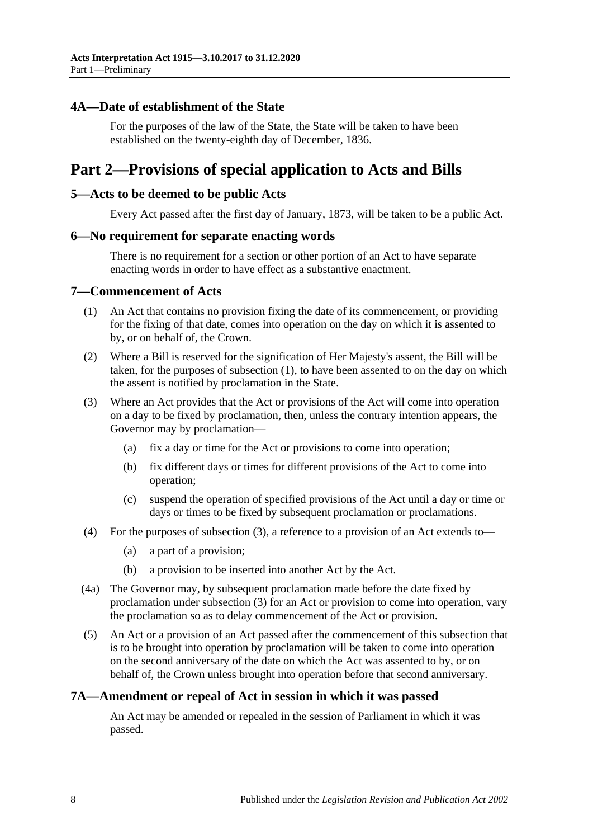#### <span id="page-7-0"></span>**4A—Date of establishment of the State**

For the purposes of the law of the State, the State will be taken to have been established on the twenty-eighth day of December, 1836.

## <span id="page-7-1"></span>**Part 2—Provisions of special application to Acts and Bills**

#### <span id="page-7-2"></span>**5—Acts to be deemed to be public Acts**

Every Act passed after the first day of January, 1873, will be taken to be a public Act.

#### <span id="page-7-3"></span>**6—No requirement for separate enacting words**

There is no requirement for a section or other portion of an Act to have separate enacting words in order to have effect as a substantive enactment.

#### <span id="page-7-6"></span><span id="page-7-4"></span>**7—Commencement of Acts**

- (1) An Act that contains no provision fixing the date of its commencement, or providing for the fixing of that date, comes into operation on the day on which it is assented to by, or on behalf of, the Crown.
- (2) Where a Bill is reserved for the signification of Her Majesty's assent, the Bill will be taken, for the purposes of [subsection](#page-7-6) (1), to have been assented to on the day on which the assent is notified by proclamation in the State.
- <span id="page-7-7"></span>(3) Where an Act provides that the Act or provisions of the Act will come into operation on a day to be fixed by proclamation, then, unless the contrary intention appears, the Governor may by proclamation—
	- (a) fix a day or time for the Act or provisions to come into operation;
	- (b) fix different days or times for different provisions of the Act to come into operation;
	- (c) suspend the operation of specified provisions of the Act until a day or time or days or times to be fixed by subsequent proclamation or proclamations.
- (4) For the purposes of [subsection](#page-7-7) (3), a reference to a provision of an Act extends to—
	- (a) a part of a provision;
	- (b) a provision to be inserted into another Act by the Act.
- (4a) The Governor may, by subsequent proclamation made before the date fixed by proclamation under [subsection](#page-7-7) (3) for an Act or provision to come into operation, vary the proclamation so as to delay commencement of the Act or provision.
- (5) An Act or a provision of an Act passed after the commencement of this subsection that is to be brought into operation by proclamation will be taken to come into operation on the second anniversary of the date on which the Act was assented to by, or on behalf of, the Crown unless brought into operation before that second anniversary.

#### <span id="page-7-5"></span>**7A—Amendment or repeal of Act in session in which it was passed**

An Act may be amended or repealed in the session of Parliament in which it was passed.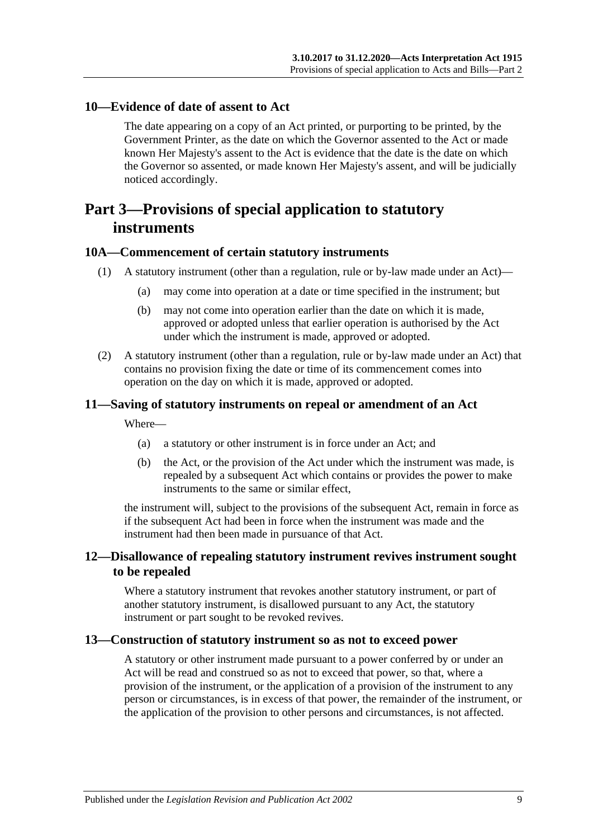#### <span id="page-8-0"></span>**10—Evidence of date of assent to Act**

The date appearing on a copy of an Act printed, or purporting to be printed, by the Government Printer, as the date on which the Governor assented to the Act or made known Her Majesty's assent to the Act is evidence that the date is the date on which the Governor so assented, or made known Her Majesty's assent, and will be judicially noticed accordingly.

## <span id="page-8-1"></span>**Part 3—Provisions of special application to statutory instruments**

#### <span id="page-8-2"></span>**10A—Commencement of certain statutory instruments**

- (1) A statutory instrument (other than a regulation, rule or by-law made under an Act)—
	- (a) may come into operation at a date or time specified in the instrument; but
	- (b) may not come into operation earlier than the date on which it is made, approved or adopted unless that earlier operation is authorised by the Act under which the instrument is made, approved or adopted.
- (2) A statutory instrument (other than a regulation, rule or by-law made under an Act) that contains no provision fixing the date or time of its commencement comes into operation on the day on which it is made, approved or adopted.

#### <span id="page-8-3"></span>**11—Saving of statutory instruments on repeal or amendment of an Act**

Where—

- (a) a statutory or other instrument is in force under an Act; and
- (b) the Act, or the provision of the Act under which the instrument was made, is repealed by a subsequent Act which contains or provides the power to make instruments to the same or similar effect,

the instrument will, subject to the provisions of the subsequent Act, remain in force as if the subsequent Act had been in force when the instrument was made and the instrument had then been made in pursuance of that Act.

## <span id="page-8-4"></span>**12—Disallowance of repealing statutory instrument revives instrument sought to be repealed**

Where a statutory instrument that revokes another statutory instrument, or part of another statutory instrument, is disallowed pursuant to any Act, the statutory instrument or part sought to be revoked revives.

#### <span id="page-8-5"></span>**13—Construction of statutory instrument so as not to exceed power**

A statutory or other instrument made pursuant to a power conferred by or under an Act will be read and construed so as not to exceed that power, so that, where a provision of the instrument, or the application of a provision of the instrument to any person or circumstances, is in excess of that power, the remainder of the instrument, or the application of the provision to other persons and circumstances, is not affected.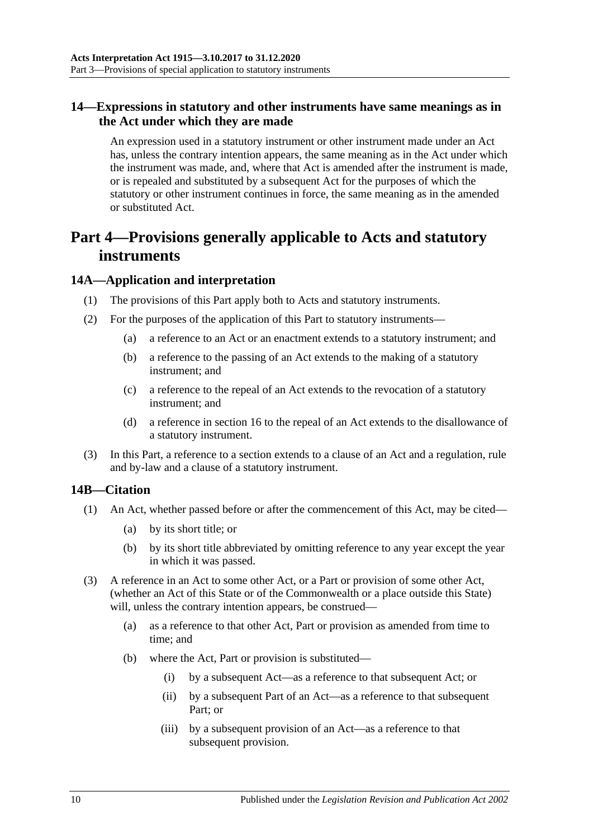## <span id="page-9-0"></span>**14—Expressions in statutory and other instruments have same meanings as in the Act under which they are made**

An expression used in a statutory instrument or other instrument made under an Act has, unless the contrary intention appears, the same meaning as in the Act under which the instrument was made, and, where that Act is amended after the instrument is made, or is repealed and substituted by a subsequent Act for the purposes of which the statutory or other instrument continues in force, the same meaning as in the amended or substituted Act.

## <span id="page-9-1"></span>**Part 4—Provisions generally applicable to Acts and statutory instruments**

## <span id="page-9-2"></span>**14A—Application and interpretation**

- (1) The provisions of this Part apply both to Acts and statutory instruments.
- (2) For the purposes of the application of this Part to statutory instruments—
	- (a) a reference to an Act or an enactment extends to a statutory instrument; and
	- (b) a reference to the passing of an Act extends to the making of a statutory instrument; and
	- (c) a reference to the repeal of an Act extends to the revocation of a statutory instrument; and
	- (d) a reference in [section](#page-11-1) 16 to the repeal of an Act extends to the disallowance of a statutory instrument.
- (3) In this Part, a reference to a section extends to a clause of an Act and a regulation, rule and by-law and a clause of a statutory instrument.

#### <span id="page-9-3"></span>**14B—Citation**

- (1) An Act, whether passed before or after the commencement of this Act, may be cited—
	- (a) by its short title; or
	- (b) by its short title abbreviated by omitting reference to any year except the year in which it was passed.
- (3) A reference in an Act to some other Act, or a Part or provision of some other Act, (whether an Act of this State or of the Commonwealth or a place outside this State) will, unless the contrary intention appears, be construed—
	- (a) as a reference to that other Act, Part or provision as amended from time to time; and
	- (b) where the Act, Part or provision is substituted—
		- (i) by a subsequent Act—as a reference to that subsequent Act; or
		- (ii) by a subsequent Part of an Act—as a reference to that subsequent Part; or
		- (iii) by a subsequent provision of an Act—as a reference to that subsequent provision.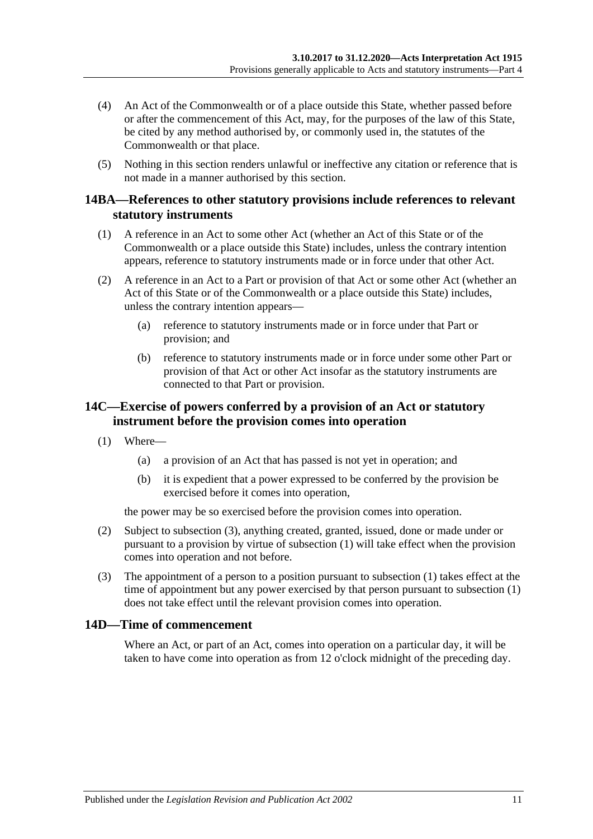- (4) An Act of the Commonwealth or of a place outside this State, whether passed before or after the commencement of this Act, may, for the purposes of the law of this State, be cited by any method authorised by, or commonly used in, the statutes of the Commonwealth or that place.
- (5) Nothing in this section renders unlawful or ineffective any citation or reference that is not made in a manner authorised by this section.

### <span id="page-10-0"></span>**14BA—References to other statutory provisions include references to relevant statutory instruments**

- (1) A reference in an Act to some other Act (whether an Act of this State or of the Commonwealth or a place outside this State) includes, unless the contrary intention appears, reference to statutory instruments made or in force under that other Act.
- (2) A reference in an Act to a Part or provision of that Act or some other Act (whether an Act of this State or of the Commonwealth or a place outside this State) includes, unless the contrary intention appears—
	- (a) reference to statutory instruments made or in force under that Part or provision; and
	- (b) reference to statutory instruments made or in force under some other Part or provision of that Act or other Act insofar as the statutory instruments are connected to that Part or provision.

## <span id="page-10-1"></span>**14C—Exercise of powers conferred by a provision of an Act or statutory instrument before the provision comes into operation**

- <span id="page-10-4"></span>(1) Where—
	- (a) a provision of an Act that has passed is not yet in operation; and
	- (b) it is expedient that a power expressed to be conferred by the provision be exercised before it comes into operation,

the power may be so exercised before the provision comes into operation.

- (2) Subject to [subsection](#page-10-3) (3), anything created, granted, issued, done or made under or pursuant to a provision by virtue of [subsection](#page-10-4) (1) will take effect when the provision comes into operation and not before.
- <span id="page-10-3"></span>(3) The appointment of a person to a position pursuant to [subsection](#page-10-4) (1) takes effect at the time of appointment but any power exercised by that person pursuant to [subsection](#page-10-4) (1) does not take effect until the relevant provision comes into operation.

## <span id="page-10-2"></span>**14D—Time of commencement**

Where an Act, or part of an Act, comes into operation on a particular day, it will be taken to have come into operation as from 12 o'clock midnight of the preceding day.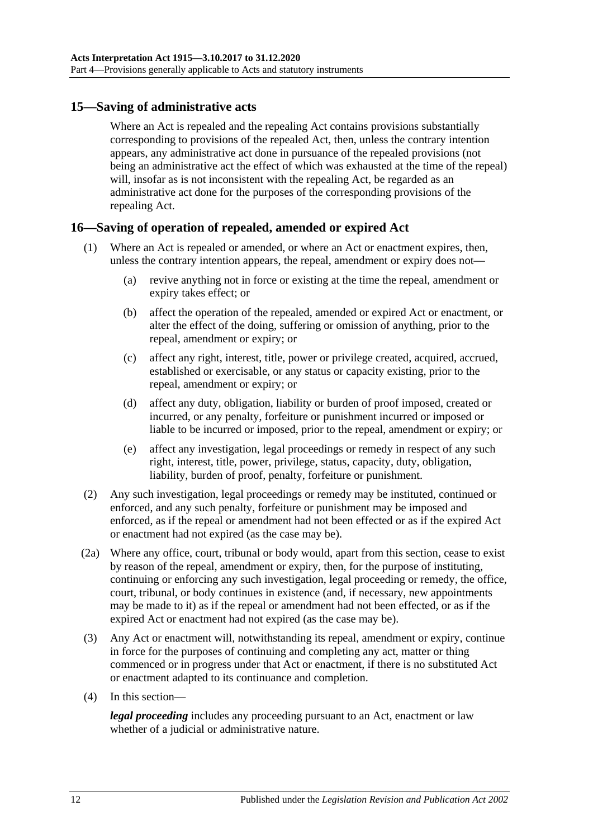## <span id="page-11-0"></span>**15—Saving of administrative acts**

Where an Act is repealed and the repealing Act contains provisions substantially corresponding to provisions of the repealed Act, then, unless the contrary intention appears, any administrative act done in pursuance of the repealed provisions (not being an administrative act the effect of which was exhausted at the time of the repeal) will, insofar as is not inconsistent with the repealing Act, be regarded as an administrative act done for the purposes of the corresponding provisions of the repealing Act.

## <span id="page-11-1"></span>**16—Saving of operation of repealed, amended or expired Act**

- (1) Where an Act is repealed or amended, or where an Act or enactment expires, then, unless the contrary intention appears, the repeal, amendment or expiry does not—
	- (a) revive anything not in force or existing at the time the repeal, amendment or expiry takes effect; or
	- (b) affect the operation of the repealed, amended or expired Act or enactment, or alter the effect of the doing, suffering or omission of anything, prior to the repeal, amendment or expiry; or
	- (c) affect any right, interest, title, power or privilege created, acquired, accrued, established or exercisable, or any status or capacity existing, prior to the repeal, amendment or expiry; or
	- (d) affect any duty, obligation, liability or burden of proof imposed, created or incurred, or any penalty, forfeiture or punishment incurred or imposed or liable to be incurred or imposed, prior to the repeal, amendment or expiry; or
	- (e) affect any investigation, legal proceedings or remedy in respect of any such right, interest, title, power, privilege, status, capacity, duty, obligation, liability, burden of proof, penalty, forfeiture or punishment.
- (2) Any such investigation, legal proceedings or remedy may be instituted, continued or enforced, and any such penalty, forfeiture or punishment may be imposed and enforced, as if the repeal or amendment had not been effected or as if the expired Act or enactment had not expired (as the case may be).
- (2a) Where any office, court, tribunal or body would, apart from this section, cease to exist by reason of the repeal, amendment or expiry, then, for the purpose of instituting, continuing or enforcing any such investigation, legal proceeding or remedy, the office, court, tribunal, or body continues in existence (and, if necessary, new appointments may be made to it) as if the repeal or amendment had not been effected, or as if the expired Act or enactment had not expired (as the case may be).
- (3) Any Act or enactment will, notwithstanding its repeal, amendment or expiry, continue in force for the purposes of continuing and completing any act, matter or thing commenced or in progress under that Act or enactment, if there is no substituted Act or enactment adapted to its continuance and completion.
- (4) In this section—

*legal proceeding* includes any proceeding pursuant to an Act, enactment or law whether of a judicial or administrative nature.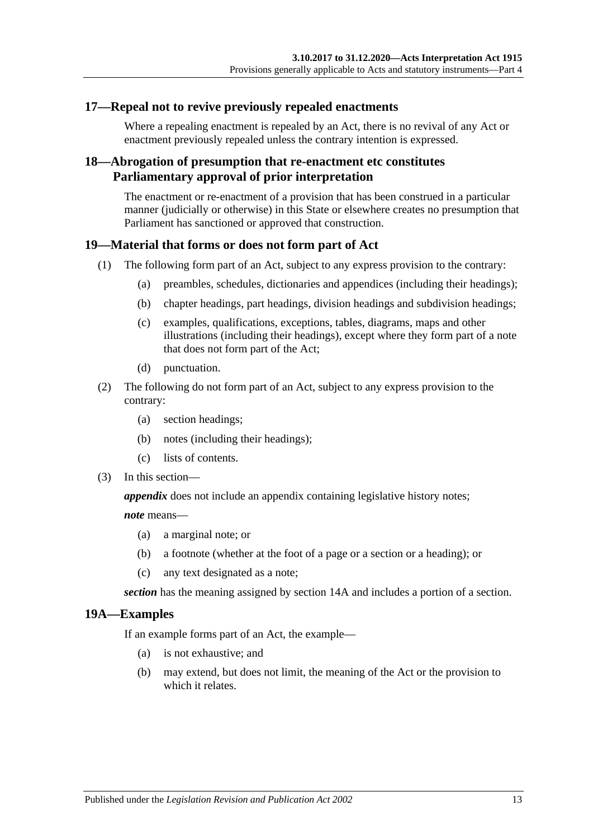## <span id="page-12-0"></span>**17—Repeal not to revive previously repealed enactments**

Where a repealing enactment is repealed by an Act, there is no revival of any Act or enactment previously repealed unless the contrary intention is expressed.

## <span id="page-12-1"></span>**18—Abrogation of presumption that re-enactment etc constitutes Parliamentary approval of prior interpretation**

The enactment or re-enactment of a provision that has been construed in a particular manner (judicially or otherwise) in this State or elsewhere creates no presumption that Parliament has sanctioned or approved that construction.

## <span id="page-12-2"></span>**19—Material that forms or does not form part of Act**

- (1) The following form part of an Act, subject to any express provision to the contrary:
	- (a) preambles, schedules, dictionaries and appendices (including their headings);
	- (b) chapter headings, part headings, division headings and subdivision headings;
	- (c) examples, qualifications, exceptions, tables, diagrams, maps and other illustrations (including their headings), except where they form part of a note that does not form part of the Act;
	- (d) punctuation.
- (2) The following do not form part of an Act, subject to any express provision to the contrary:
	- (a) section headings;
	- (b) notes (including their headings);
	- (c) lists of contents.
- (3) In this section—

*appendix* does not include an appendix containing legislative history notes;

*note* means—

- (a) a marginal note; or
- (b) a footnote (whether at the foot of a page or a section or a heading); or
- (c) any text designated as a note;

*section* has the meaning assigned by [section](#page-9-2) 14A and includes a portion of a section.

## <span id="page-12-3"></span>**19A—Examples**

If an example forms part of an Act, the example—

- (a) is not exhaustive; and
- (b) may extend, but does not limit, the meaning of the Act or the provision to which it relates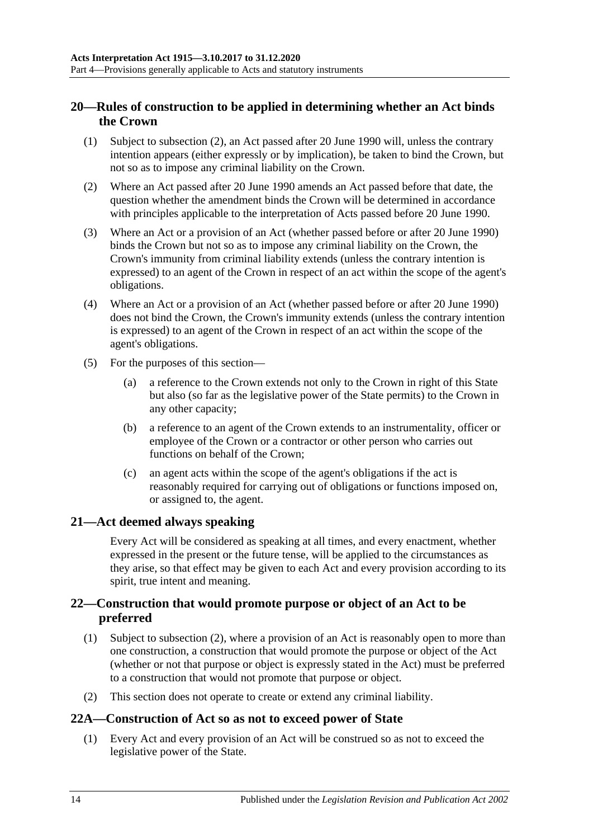## <span id="page-13-0"></span>**20—Rules of construction to be applied in determining whether an Act binds the Crown**

- (1) Subject to [subsection](#page-13-4) (2), an Act passed after 20 June 1990 will, unless the contrary intention appears (either expressly or by implication), be taken to bind the Crown, but not so as to impose any criminal liability on the Crown.
- <span id="page-13-4"></span>(2) Where an Act passed after 20 June 1990 amends an Act passed before that date, the question whether the amendment binds the Crown will be determined in accordance with principles applicable to the interpretation of Acts passed before 20 June 1990.
- (3) Where an Act or a provision of an Act (whether passed before or after 20 June 1990) binds the Crown but not so as to impose any criminal liability on the Crown, the Crown's immunity from criminal liability extends (unless the contrary intention is expressed) to an agent of the Crown in respect of an act within the scope of the agent's obligations.
- (4) Where an Act or a provision of an Act (whether passed before or after 20 June 1990) does not bind the Crown, the Crown's immunity extends (unless the contrary intention is expressed) to an agent of the Crown in respect of an act within the scope of the agent's obligations.
- (5) For the purposes of this section—
	- (a) a reference to the Crown extends not only to the Crown in right of this State but also (so far as the legislative power of the State permits) to the Crown in any other capacity;
	- (b) a reference to an agent of the Crown extends to an instrumentality, officer or employee of the Crown or a contractor or other person who carries out functions on behalf of the Crown;
	- (c) an agent acts within the scope of the agent's obligations if the act is reasonably required for carrying out of obligations or functions imposed on, or assigned to, the agent.

## <span id="page-13-1"></span>**21—Act deemed always speaking**

Every Act will be considered as speaking at all times, and every enactment, whether expressed in the present or the future tense, will be applied to the circumstances as they arise, so that effect may be given to each Act and every provision according to its spirit, true intent and meaning.

## <span id="page-13-2"></span>**22—Construction that would promote purpose or object of an Act to be preferred**

- (1) Subject to [subsection](#page-13-5) (2), where a provision of an Act is reasonably open to more than one construction, a construction that would promote the purpose or object of the Act (whether or not that purpose or object is expressly stated in the Act) must be preferred to a construction that would not promote that purpose or object.
- <span id="page-13-5"></span>(2) This section does not operate to create or extend any criminal liability.

## <span id="page-13-3"></span>**22A—Construction of Act so as not to exceed power of State**

(1) Every Act and every provision of an Act will be construed so as not to exceed the legislative power of the State.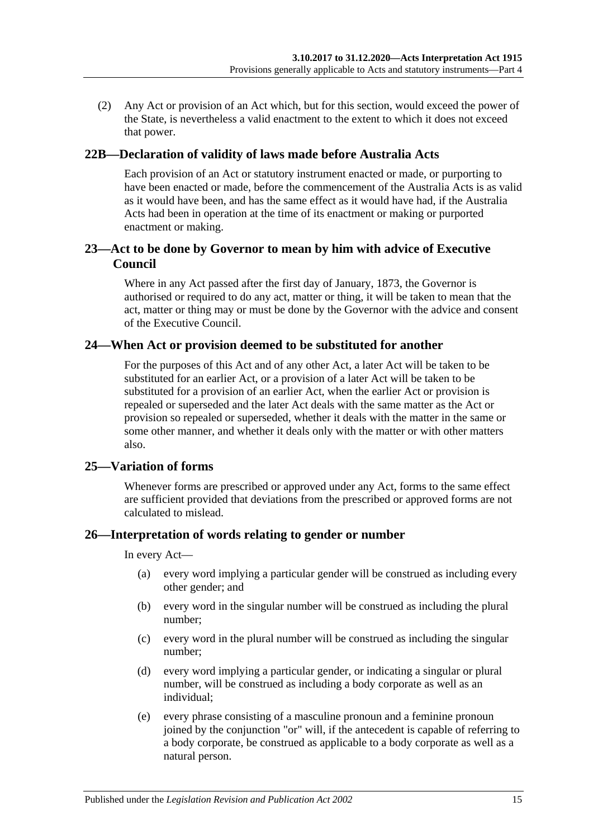(2) Any Act or provision of an Act which, but for this section, would exceed the power of the State, is nevertheless a valid enactment to the extent to which it does not exceed that power.

#### <span id="page-14-0"></span>**22B—Declaration of validity of laws made before Australia Acts**

Each provision of an Act or statutory instrument enacted or made, or purporting to have been enacted or made, before the commencement of the Australia Acts is as valid as it would have been, and has the same effect as it would have had, if the Australia Acts had been in operation at the time of its enactment or making or purported enactment or making.

## <span id="page-14-1"></span>**23—Act to be done by Governor to mean by him with advice of Executive Council**

Where in any Act passed after the first day of January, 1873, the Governor is authorised or required to do any act, matter or thing, it will be taken to mean that the act, matter or thing may or must be done by the Governor with the advice and consent of the Executive Council.

#### <span id="page-14-2"></span>**24—When Act or provision deemed to be substituted for another**

For the purposes of this Act and of any other Act, a later Act will be taken to be substituted for an earlier Act, or a provision of a later Act will be taken to be substituted for a provision of an earlier Act, when the earlier Act or provision is repealed or superseded and the later Act deals with the same matter as the Act or provision so repealed or superseded, whether it deals with the matter in the same or some other manner, and whether it deals only with the matter or with other matters also.

## <span id="page-14-3"></span>**25—Variation of forms**

Whenever forms are prescribed or approved under any Act, forms to the same effect are sufficient provided that deviations from the prescribed or approved forms are not calculated to mislead.

#### <span id="page-14-4"></span>**26—Interpretation of words relating to gender or number**

In every Act—

- (a) every word implying a particular gender will be construed as including every other gender; and
- (b) every word in the singular number will be construed as including the plural number;
- (c) every word in the plural number will be construed as including the singular number;
- (d) every word implying a particular gender, or indicating a singular or plural number, will be construed as including a body corporate as well as an individual;
- (e) every phrase consisting of a masculine pronoun and a feminine pronoun joined by the conjunction "or" will, if the antecedent is capable of referring to a body corporate, be construed as applicable to a body corporate as well as a natural person.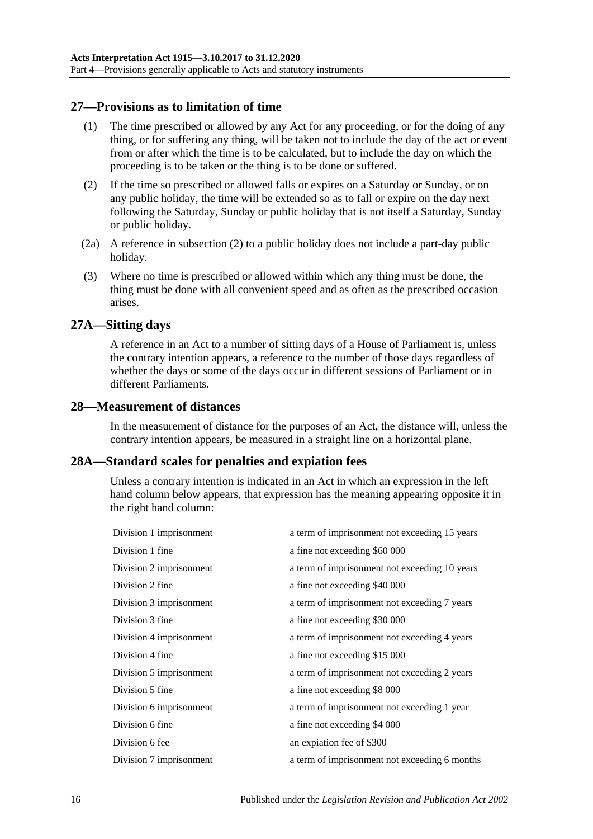## <span id="page-15-0"></span>**27—Provisions as to limitation of time**

- (1) The time prescribed or allowed by any Act for any proceeding, or for the doing of any thing, or for suffering any thing, will be taken not to include the day of the act or event from or after which the time is to be calculated, but to include the day on which the proceeding is to be taken or the thing is to be done or suffered.
- <span id="page-15-4"></span>(2) If the time so prescribed or allowed falls or expires on a Saturday or Sunday, or on any public holiday, the time will be extended so as to fall or expire on the day next following the Saturday, Sunday or public holiday that is not itself a Saturday, Sunday or public holiday.
- (2a) A reference in [subsection](#page-15-4) (2) to a public holiday does not include a part-day public holiday.
- (3) Where no time is prescribed or allowed within which any thing must be done, the thing must be done with all convenient speed and as often as the prescribed occasion arises.

#### <span id="page-15-1"></span>**27A—Sitting days**

A reference in an Act to a number of sitting days of a House of Parliament is, unless the contrary intention appears, a reference to the number of those days regardless of whether the days or some of the days occur in different sessions of Parliament or in different Parliaments.

#### <span id="page-15-2"></span>**28—Measurement of distances**

In the measurement of distance for the purposes of an Act, the distance will, unless the contrary intention appears, be measured in a straight line on a horizontal plane.

#### <span id="page-15-3"></span>**28A—Standard scales for penalties and expiation fees**

Unless a contrary intention is indicated in an Act in which an expression in the left hand column below appears, that expression has the meaning appearing opposite it in the right hand column:

| Division 1 imprisonment | a term of imprisonment not exceeding 15 years |
|-------------------------|-----------------------------------------------|
| Division 1 fine         | a fine not exceeding \$60 000                 |
| Division 2 imprisonment | a term of imprisonment not exceeding 10 years |
| Division 2 fine         | a fine not exceeding \$40 000                 |
| Division 3 imprisonment | a term of imprisonment not exceeding 7 years  |
| Division 3 fine         | a fine not exceeding \$30 000                 |
| Division 4 imprisonment | a term of imprisonment not exceeding 4 years  |
| Division 4 fine         | a fine not exceeding \$15 000                 |
| Division 5 imprisonment | a term of imprisonment not exceeding 2 years  |
| Division 5 fine         | a fine not exceeding \$8 000                  |
| Division 6 imprisonment | a term of imprisonment not exceeding 1 year   |
| Division 6 fine         | a fine not exceeding \$4 000                  |
| Division 6 fee          | an expiation fee of \$300                     |
| Division 7 imprisonment | a term of imprisonment not exceeding 6 months |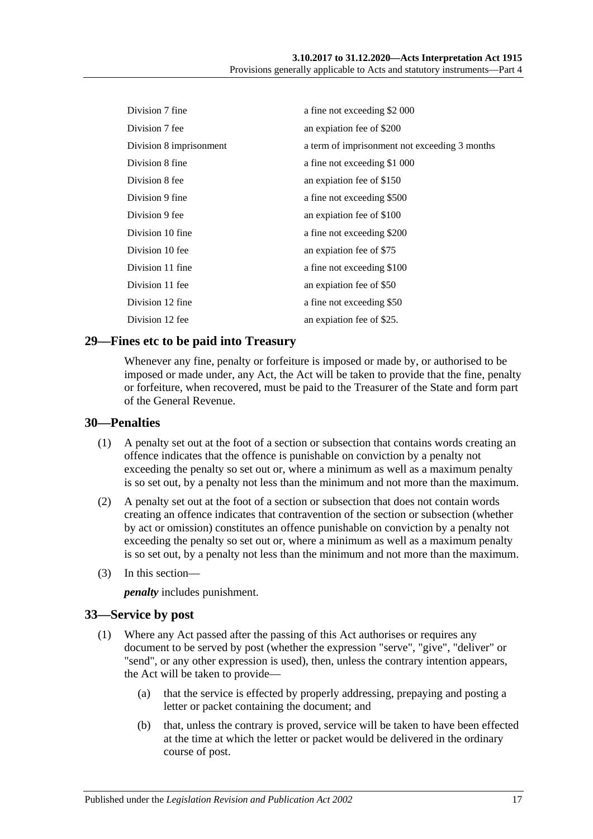| Division 7 fine         | a fine not exceeding \$2 000                  |
|-------------------------|-----------------------------------------------|
| Division 7 fee          | an expiation fee of \$200                     |
| Division 8 imprisonment | a term of imprisonment not exceeding 3 months |
| Division 8 fine         | a fine not exceeding \$1 000                  |
| Division 8 fee          | an expiation fee of \$150                     |
| Division 9 fine         | a fine not exceeding \$500                    |
| Division 9 fee          | an expiation fee of \$100                     |
| Division 10 fine        | a fine not exceeding \$200                    |
| Division 10 fee         | an expiation fee of \$75                      |
| Division 11 fine        | a fine not exceeding \$100                    |
| Division 11 fee         | an expiation fee of \$50                      |
| Division 12 fine        | a fine not exceeding \$50                     |
| Division 12 fee         | an expiation fee of \$25.                     |

## <span id="page-16-0"></span>**29—Fines etc to be paid into Treasury**

Whenever any fine, penalty or forfeiture is imposed or made by, or authorised to be imposed or made under, any Act, the Act will be taken to provide that the fine, penalty or forfeiture, when recovered, must be paid to the Treasurer of the State and form part of the General Revenue.

#### <span id="page-16-1"></span>**30—Penalties**

- (1) A penalty set out at the foot of a section or subsection that contains words creating an offence indicates that the offence is punishable on conviction by a penalty not exceeding the penalty so set out or, where a minimum as well as a maximum penalty is so set out, by a penalty not less than the minimum and not more than the maximum.
- (2) A penalty set out at the foot of a section or subsection that does not contain words creating an offence indicates that contravention of the section or subsection (whether by act or omission) constitutes an offence punishable on conviction by a penalty not exceeding the penalty so set out or, where a minimum as well as a maximum penalty is so set out, by a penalty not less than the minimum and not more than the maximum.
- (3) In this section—

*penalty* includes punishment.

#### <span id="page-16-2"></span>**33—Service by post**

- (1) Where any Act passed after the passing of this Act authorises or requires any document to be served by post (whether the expression "serve", "give", "deliver" or "send", or any other expression is used), then, unless the contrary intention appears, the Act will be taken to provide—
	- (a) that the service is effected by properly addressing, prepaying and posting a letter or packet containing the document; and
	- (b) that, unless the contrary is proved, service will be taken to have been effected at the time at which the letter or packet would be delivered in the ordinary course of post.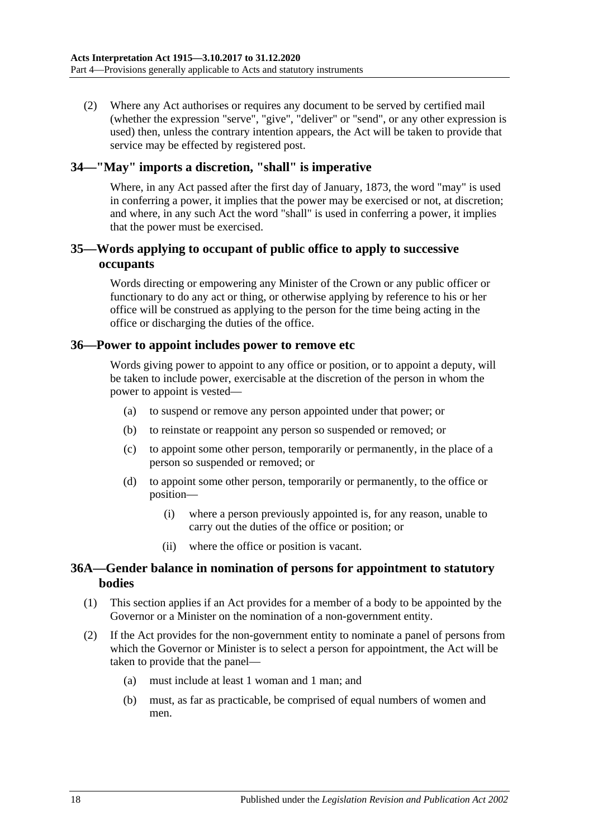(2) Where any Act authorises or requires any document to be served by certified mail (whether the expression "serve", "give", "deliver" or "send", or any other expression is used) then, unless the contrary intention appears, the Act will be taken to provide that service may be effected by registered post.

## <span id="page-17-0"></span>**34—"May" imports a discretion, "shall" is imperative**

Where, in any Act passed after the first day of January, 1873, the word "may" is used in conferring a power, it implies that the power may be exercised or not, at discretion; and where, in any such Act the word "shall" is used in conferring a power, it implies that the power must be exercised.

## <span id="page-17-1"></span>**35—Words applying to occupant of public office to apply to successive occupants**

Words directing or empowering any Minister of the Crown or any public officer or functionary to do any act or thing, or otherwise applying by reference to his or her office will be construed as applying to the person for the time being acting in the office or discharging the duties of the office.

#### <span id="page-17-2"></span>**36—Power to appoint includes power to remove etc**

Words giving power to appoint to any office or position, or to appoint a deputy, will be taken to include power, exercisable at the discretion of the person in whom the power to appoint is vested—

- (a) to suspend or remove any person appointed under that power; or
- (b) to reinstate or reappoint any person so suspended or removed; or
- (c) to appoint some other person, temporarily or permanently, in the place of a person so suspended or removed; or
- (d) to appoint some other person, temporarily or permanently, to the office or position—
	- (i) where a person previously appointed is, for any reason, unable to carry out the duties of the office or position; or
	- (ii) where the office or position is vacant.

## <span id="page-17-3"></span>**36A—Gender balance in nomination of persons for appointment to statutory bodies**

- (1) This section applies if an Act provides for a member of a body to be appointed by the Governor or a Minister on the nomination of a non-government entity.
- (2) If the Act provides for the non-government entity to nominate a panel of persons from which the Governor or Minister is to select a person for appointment, the Act will be taken to provide that the panel—
	- (a) must include at least 1 woman and 1 man; and
	- (b) must, as far as practicable, be comprised of equal numbers of women and men.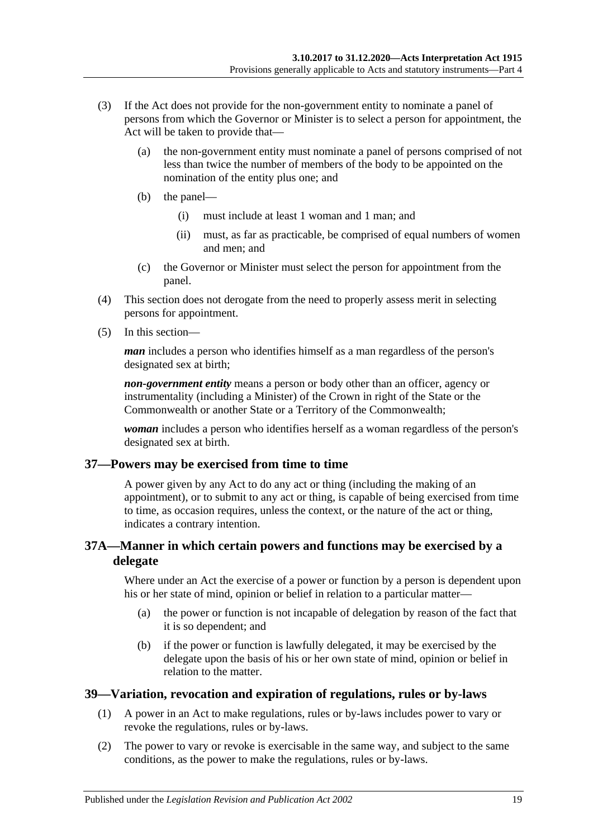- (3) If the Act does not provide for the non-government entity to nominate a panel of persons from which the Governor or Minister is to select a person for appointment, the Act will be taken to provide that—
	- (a) the non-government entity must nominate a panel of persons comprised of not less than twice the number of members of the body to be appointed on the nomination of the entity plus one; and
	- (b) the panel—
		- (i) must include at least 1 woman and 1 man; and
		- (ii) must, as far as practicable, be comprised of equal numbers of women and men; and
	- (c) the Governor or Minister must select the person for appointment from the panel.
- (4) This section does not derogate from the need to properly assess merit in selecting persons for appointment.
- (5) In this section—

*man* includes a person who identifies himself as a man regardless of the person's designated sex at birth;

*non-government entity* means a person or body other than an officer, agency or instrumentality (including a Minister) of the Crown in right of the State or the Commonwealth or another State or a Territory of the Commonwealth;

*woman* includes a person who identifies herself as a woman regardless of the person's designated sex at birth.

## <span id="page-18-0"></span>**37—Powers may be exercised from time to time**

A power given by any Act to do any act or thing (including the making of an appointment), or to submit to any act or thing, is capable of being exercised from time to time, as occasion requires, unless the context, or the nature of the act or thing, indicates a contrary intention.

## <span id="page-18-1"></span>**37A—Manner in which certain powers and functions may be exercised by a delegate**

Where under an Act the exercise of a power or function by a person is dependent upon his or her state of mind, opinion or belief in relation to a particular matter—

- (a) the power or function is not incapable of delegation by reason of the fact that it is so dependent; and
- (b) if the power or function is lawfully delegated, it may be exercised by the delegate upon the basis of his or her own state of mind, opinion or belief in relation to the matter.

## <span id="page-18-2"></span>**39—Variation, revocation and expiration of regulations, rules or by-laws**

- (1) A power in an Act to make regulations, rules or by-laws includes power to vary or revoke the regulations, rules or by-laws.
- (2) The power to vary or revoke is exercisable in the same way, and subject to the same conditions, as the power to make the regulations, rules or by-laws.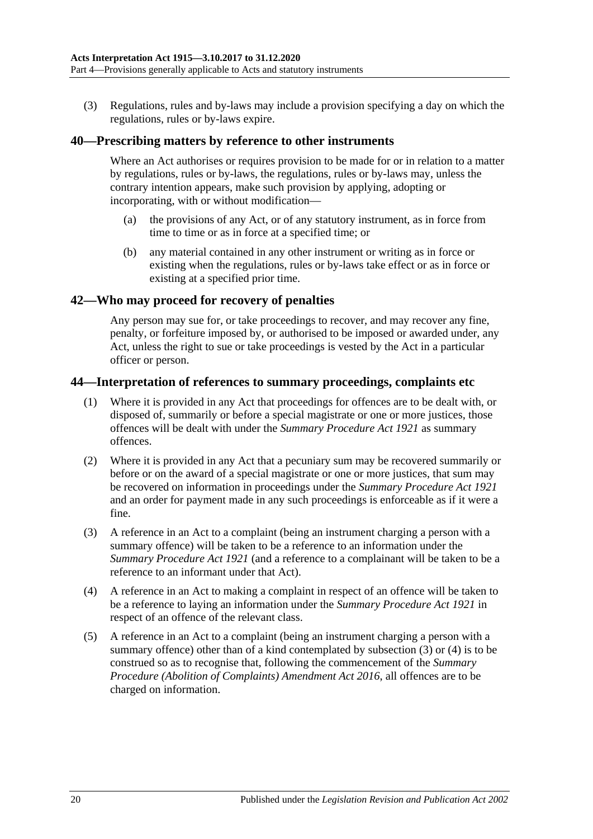(3) Regulations, rules and by-laws may include a provision specifying a day on which the regulations, rules or by-laws expire.

#### <span id="page-19-0"></span>**40—Prescribing matters by reference to other instruments**

Where an Act authorises or requires provision to be made for or in relation to a matter by regulations, rules or by-laws, the regulations, rules or by-laws may, unless the contrary intention appears, make such provision by applying, adopting or incorporating, with or without modification—

- (a) the provisions of any Act, or of any statutory instrument, as in force from time to time or as in force at a specified time; or
- (b) any material contained in any other instrument or writing as in force or existing when the regulations, rules or by-laws take effect or as in force or existing at a specified prior time.

#### <span id="page-19-1"></span>**42—Who may proceed for recovery of penalties**

Any person may sue for, or take proceedings to recover, and may recover any fine, penalty, or forfeiture imposed by, or authorised to be imposed or awarded under, any Act, unless the right to sue or take proceedings is vested by the Act in a particular officer or person.

#### <span id="page-19-2"></span>**44—Interpretation of references to summary proceedings, complaints etc**

- (1) Where it is provided in any Act that proceedings for offences are to be dealt with, or disposed of, summarily or before a special magistrate or one or more justices, those offences will be dealt with under the *[Summary Procedure Act](http://www.legislation.sa.gov.au/index.aspx?action=legref&type=act&legtitle=Summary%20Procedure%20Act%201921) 1921* as summary offences.
- (2) Where it is provided in any Act that a pecuniary sum may be recovered summarily or before or on the award of a special magistrate or one or more justices, that sum may be recovered on information in proceedings under the *[Summary Procedure Act](http://www.legislation.sa.gov.au/index.aspx?action=legref&type=act&legtitle=Summary%20Procedure%20Act%201921) 1921* and an order for payment made in any such proceedings is enforceable as if it were a fine.
- <span id="page-19-3"></span>(3) A reference in an Act to a complaint (being an instrument charging a person with a summary offence) will be taken to be a reference to an information under the *[Summary Procedure Act](http://www.legislation.sa.gov.au/index.aspx?action=legref&type=act&legtitle=Summary%20Procedure%20Act%201921) 1921* (and a reference to a complainant will be taken to be a reference to an informant under that Act).
- <span id="page-19-4"></span>(4) A reference in an Act to making a complaint in respect of an offence will be taken to be a reference to laying an information under the *[Summary Procedure Act](http://www.legislation.sa.gov.au/index.aspx?action=legref&type=act&legtitle=Summary%20Procedure%20Act%201921) 1921* in respect of an offence of the relevant class.
- (5) A reference in an Act to a complaint (being an instrument charging a person with a summary offence) other than of a kind contemplated by [subsection](#page-19-3) (3) or [\(4\)](#page-19-4) is to be construed so as to recognise that, following the commencement of the *[Summary](http://www.legislation.sa.gov.au/index.aspx?action=legref&type=act&legtitle=Summary%20Procedure%20(Abolition%20of%20Complaints)%20Amendment%20Act%202016)  [Procedure \(Abolition of Complaints\) Amendment Act](http://www.legislation.sa.gov.au/index.aspx?action=legref&type=act&legtitle=Summary%20Procedure%20(Abolition%20of%20Complaints)%20Amendment%20Act%202016) 2016*, all offences are to be charged on information.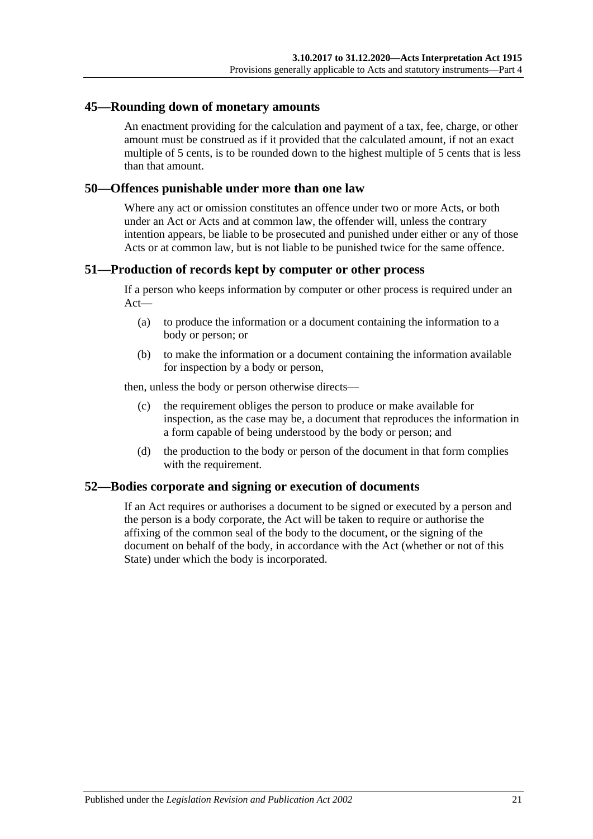#### <span id="page-20-0"></span>**45—Rounding down of monetary amounts**

An enactment providing for the calculation and payment of a tax, fee, charge, or other amount must be construed as if it provided that the calculated amount, if not an exact multiple of 5 cents, is to be rounded down to the highest multiple of 5 cents that is less than that amount.

#### <span id="page-20-1"></span>**50—Offences punishable under more than one law**

Where any act or omission constitutes an offence under two or more Acts, or both under an Act or Acts and at common law, the offender will, unless the contrary intention appears, be liable to be prosecuted and punished under either or any of those Acts or at common law, but is not liable to be punished twice for the same offence.

#### <span id="page-20-2"></span>**51—Production of records kept by computer or other process**

If a person who keeps information by computer or other process is required under an Act—

- (a) to produce the information or a document containing the information to a body or person; or
- (b) to make the information or a document containing the information available for inspection by a body or person,

then, unless the body or person otherwise directs—

- (c) the requirement obliges the person to produce or make available for inspection, as the case may be, a document that reproduces the information in a form capable of being understood by the body or person; and
- (d) the production to the body or person of the document in that form complies with the requirement.

#### <span id="page-20-3"></span>**52—Bodies corporate and signing or execution of documents**

If an Act requires or authorises a document to be signed or executed by a person and the person is a body corporate, the Act will be taken to require or authorise the affixing of the common seal of the body to the document, or the signing of the document on behalf of the body, in accordance with the Act (whether or not of this State) under which the body is incorporated.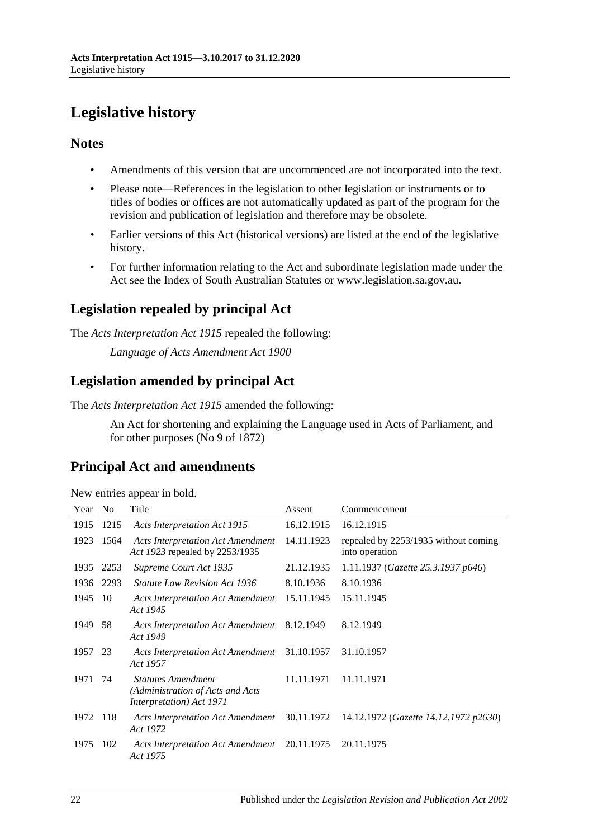# <span id="page-21-0"></span>**Legislative history**

## **Notes**

- Amendments of this version that are uncommenced are not incorporated into the text.
- Please note—References in the legislation to other legislation or instruments or to titles of bodies or offices are not automatically updated as part of the program for the revision and publication of legislation and therefore may be obsolete.
- Earlier versions of this Act (historical versions) are listed at the end of the legislative history.
- For further information relating to the Act and subordinate legislation made under the Act see the Index of South Australian Statutes or www.legislation.sa.gov.au.

## **Legislation repealed by principal Act**

The *Acts Interpretation Act 1915* repealed the following:

*Language of Acts Amendment Act 1900*

## **Legislation amended by principal Act**

The *Acts Interpretation Act 1915* amended the following:

An Act for shortening and explaining the Language used in Acts of Parliament, and for other purposes (No 9 of 1872)

## **Principal Act and amendments**

| Year     | N <sub>o</sub> | Title                                                                                     | Assent     | Commencement                                                                       |
|----------|----------------|-------------------------------------------------------------------------------------------|------------|------------------------------------------------------------------------------------|
| 1915     | 1215           | <b>Acts Interpretation Act 1915</b>                                                       | 16.12.1915 | 16.12.1915                                                                         |
| 1923     | 1564           | <b>Acts Interpretation Act Amendment</b><br>Act 1923 repealed by 2253/1935                | 14.11.1923 | repealed by 2253/1935 without coming<br>into operation                             |
| 1935     | 2253           | Supreme Court Act 1935                                                                    | 21.12.1935 | 1.11.1937 (Gazette 25.3.1937 p646)                                                 |
| 1936     | 2293           | <i>Statute Law Revision Act 1936</i>                                                      | 8.10.1936  | 8.10.1936                                                                          |
| 1945     | -10            | Acts Interpretation Act Amendment<br>Act 1945                                             | 15.11.1945 | 15.11.1945                                                                         |
| 1949     | 58             | Acts Interpretation Act Amendment<br>Act 1949                                             | 8.12.1949  | 8.12.1949                                                                          |
| 1957     | 23             | Acts Interpretation Act Amendment<br>Act 1957                                             | 31.10.1957 | 31.10.1957                                                                         |
| 1971     | 74             | <b>Statutes Amendment</b><br>(Administration of Acts and Acts<br>Interpretation) Act 1971 | 11.11.1971 | 11.11.1971                                                                         |
| 1972 118 |                | Act 1972                                                                                  |            | Acts Interpretation Act Amendment 30.11.1972 14.12.1972 (Gazette 14.12.1972 p2630) |
| 1975     | 102            | <b>Acts Interpretation Act Amendment</b><br>Act 1975                                      | 20.11.1975 | 20.11.1975                                                                         |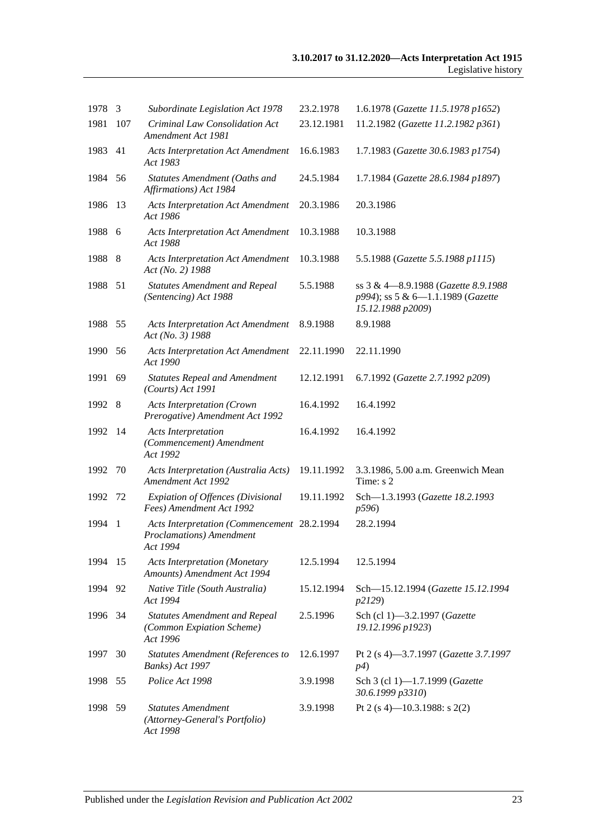| 1978 | 3    | Subordinate Legislation Act 1978                                                    | 23.2.1978  | 1.6.1978 (Gazette 11.5.1978 p1652)                                                             |
|------|------|-------------------------------------------------------------------------------------|------------|------------------------------------------------------------------------------------------------|
| 1981 | 107  | Criminal Law Consolidation Act<br>Amendment Act 1981                                | 23.12.1981 | 11.2.1982 (Gazette 11.2.1982 p361)                                                             |
| 1983 | 41   | <b>Acts Interpretation Act Amendment</b><br>Act 1983                                | 16.6.1983  | 1.7.1983 (Gazette 30.6.1983 p1754)                                                             |
| 1984 | 56   | Statutes Amendment (Oaths and<br>Affirmations) Act 1984                             | 24.5.1984  | 1.7.1984 (Gazette 28.6.1984 p1897)                                                             |
| 1986 | 13   | <b>Acts Interpretation Act Amendment</b><br>Act 1986                                | 20.3.1986  | 20.3.1986                                                                                      |
| 1988 | 6    | <b>Acts Interpretation Act Amendment</b><br>Act 1988                                | 10.3.1988  | 10.3.1988                                                                                      |
| 1988 | 8    | <b>Acts Interpretation Act Amendment</b><br>Act (No. 2) 1988                        | 10.3.1988  | 5.5.1988 (Gazette 5.5.1988 p1115)                                                              |
| 1988 | 51   | <b>Statutes Amendment and Repeal</b><br>(Sentencing) Act 1988                       | 5.5.1988   | ss 3 & 4-8.9.1988 (Gazette 8.9.1988)<br>p994); ss 5 & 6-1.1.1989 (Gazette<br>15.12.1988 p2009) |
| 1988 | 55   | <b>Acts Interpretation Act Amendment</b><br>Act (No. 3) 1988                        | 8.9.1988   | 8.9.1988                                                                                       |
| 1990 | 56   | <b>Acts Interpretation Act Amendment</b><br>Act 1990                                | 22.11.1990 | 22.11.1990                                                                                     |
| 1991 | 69   | <b>Statutes Repeal and Amendment</b><br>(Courts) Act 1991                           | 12.12.1991 | 6.7.1992 (Gazette 2.7.1992 p209)                                                               |
| 1992 | 8    | <b>Acts Interpretation (Crown</b><br>Prerogative) Amendment Act 1992                | 16.4.1992  | 16.4.1992                                                                                      |
| 1992 | -14  | <b>Acts Interpretation</b><br>(Commencement) Amendment<br>Act 1992                  | 16.4.1992  | 16.4.1992                                                                                      |
| 1992 | 70   | Acts Interpretation (Australia Acts)<br>Amendment Act 1992                          | 19.11.1992 | 3.3.1986, 5.00 a.m. Greenwich Mean<br>Time: s 2                                                |
| 1992 | 72   | <b>Expiation of Offences (Divisional</b><br>Fees) Amendment Act 1992                | 19.11.1992 | Sch-1.3.1993 (Gazette 18.2.1993<br>p596)                                                       |
| 1994 | 1    | Acts Interpretation (Commencement 28.2.1994<br>Proclamations) Amendment<br>Act 1994 |            | 28.2.1994                                                                                      |
| 1994 | 15   | <b>Acts Interpretation (Monetary</b><br>Amounts) Amendment Act 1994                 | 12.5.1994  | 12.5.1994                                                                                      |
| 1994 | 92   | Native Title (South Australia)<br>Act 1994                                          | 15.12.1994 | Sch-15.12.1994 (Gazette 15.12.1994<br>p2129)                                                   |
| 1996 | - 34 | <b>Statutes Amendment and Repeal</b><br>(Common Expiation Scheme)<br>Act 1996       | 2.5.1996   | Sch (cl 1)-3.2.1997 (Gazette<br>19.12.1996 p1923)                                              |
| 1997 | 30   | <b>Statutes Amendment (References to</b><br>Banks) Act 1997                         | 12.6.1997  | Pt 2 (s 4)-3.7.1997 (Gazette 3.7.1997<br>p4)                                                   |
| 1998 | 55   | Police Act 1998                                                                     | 3.9.1998   | Sch 3 (cl 1)-1.7.1999 (Gazette<br>30.6.1999 p3310)                                             |
| 1998 | 59   | <b>Statutes Amendment</b><br>(Attorney-General's Portfolio)<br>Act 1998             | 3.9.1998   | Pt 2 (s 4)–10.3.1988: s 2(2)                                                                   |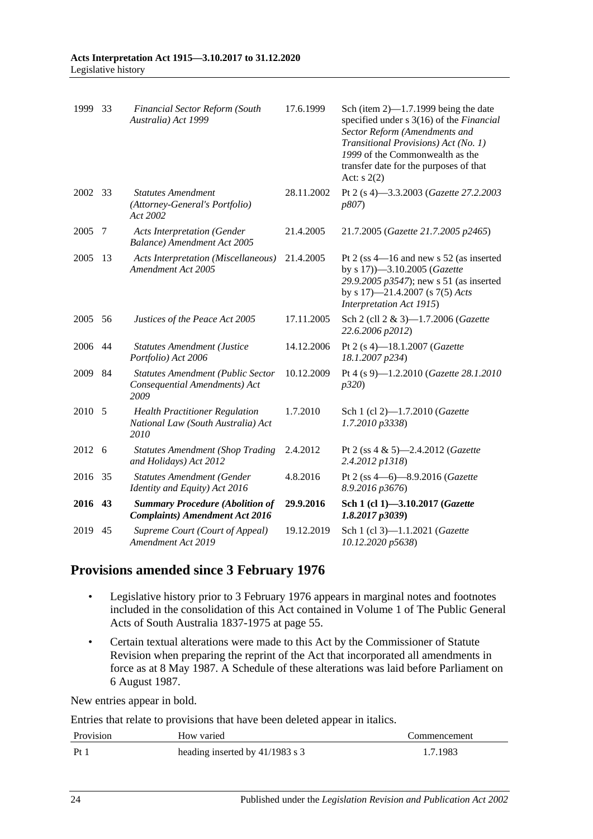| 1999    | 33 | <b>Financial Sector Reform (South</b><br>Australia) Act 1999                        | 17.6.1999  | Sch (item $2$ )—1.7.1999 being the date<br>specified under s 3(16) of the Financial<br>Sector Reform (Amendments and<br>Transitional Provisions) Act (No. 1)<br>1999 of the Commonwealth as the<br>transfer date for the purposes of that<br>Act: $s(2)$ |
|---------|----|-------------------------------------------------------------------------------------|------------|----------------------------------------------------------------------------------------------------------------------------------------------------------------------------------------------------------------------------------------------------------|
| 2002 33 |    | <b>Statutes Amendment</b><br>(Attorney-General's Portfolio)<br>Act 2002             | 28.11.2002 | Pt 2 (s 4)-3.3.2003 (Gazette 27.2.2003<br><i>p807</i> )                                                                                                                                                                                                  |
| 2005    | 7  | <b>Acts Interpretation (Gender</b><br>Balance) Amendment Act 2005                   | 21.4.2005  | 21.7.2005 (Gazette 21.7.2005 p2465)                                                                                                                                                                                                                      |
| 2005    | 13 | <b>Acts Interpretation (Miscellaneous)</b><br>Amendment Act 2005                    | 21.4.2005  | Pt 2 (ss $4-16$ and new s 52 (as inserted<br>by s 17))-3.10.2005 (Gazette<br>29.9.2005 p3547); new s 51 (as inserted<br>by s $17$ )—21.4.2007 (s $7(5)$ Acts<br>Interpretation Act 1915)                                                                 |
| 2005    | 56 | Justices of the Peace Act 2005                                                      | 17.11.2005 | Sch 2 (cll 2 & 3)-1.7.2006 (Gazette<br>22.6.2006 p2012)                                                                                                                                                                                                  |
| 2006    | 44 | <b>Statutes Amendment (Justice</b><br>Portfolio) Act 2006                           | 14.12.2006 | Pt 2 (s 4)-18.1.2007 (Gazette<br>18.1.2007 p234)                                                                                                                                                                                                         |
| 2009    | 84 | <b>Statutes Amendment (Public Sector</b><br>Consequential Amendments) Act<br>2009   | 10.12.2009 | Pt 4 (s 9)-1.2.2010 (Gazette 28.1.2010<br>p320                                                                                                                                                                                                           |
| 2010    | 5  | <b>Health Practitioner Regulation</b><br>National Law (South Australia) Act<br>2010 | 1.7.2010   | Sch 1 (cl 2)-1.7.2010 (Gazette<br>1.7.2010 p3338)                                                                                                                                                                                                        |
| 2012    | -6 | <b>Statutes Amendment (Shop Trading</b><br>and Holidays) Act 2012                   | 2.4.2012   | Pt 2 (ss $4 \& 5$ )-2.4.2012 ( <i>Gazette</i><br>2.4.2012 p1318)                                                                                                                                                                                         |
| 2016    | 35 | <b>Statutes Amendment (Gender</b><br>Identity and Equity) Act 2016                  | 4.8.2016   | Pt 2 (ss 4-6)-8.9.2016 (Gazette<br>8.9.2016 p3676)                                                                                                                                                                                                       |
| 2016    | 43 | <b>Summary Procedure (Abolition of</b><br><b>Complaints)</b> Amendment Act 2016     | 29.9.2016  | Sch 1 (cl 1)-3.10.2017 (Gazette<br>1.8.2017p3039                                                                                                                                                                                                         |
| 2019    | 45 | Supreme Court (Court of Appeal)<br><b>Amendment Act 2019</b>                        | 19.12.2019 | Sch 1 (cl 3)-1.1.2021 (Gazette<br>10.12.2020 p5638)                                                                                                                                                                                                      |

## **Provisions amended since 3 February 1976**

- Legislative history prior to 3 February 1976 appears in marginal notes and footnotes included in the consolidation of this Act contained in Volume 1 of The Public General Acts of South Australia 1837-1975 at page 55.
- Certain textual alterations were made to this Act by the Commissioner of Statute Revision when preparing the reprint of the Act that incorporated all amendments in force as at 8 May 1987. A Schedule of these alterations was laid before Parliament on 6 August 1987.

New entries appear in bold.

Entries that relate to provisions that have been deleted appear in italics.

| Provision | How varied                      | Commencement |
|-----------|---------------------------------|--------------|
| Pt        | heading inserted by 41/1983 s 3 | 1.7.1983     |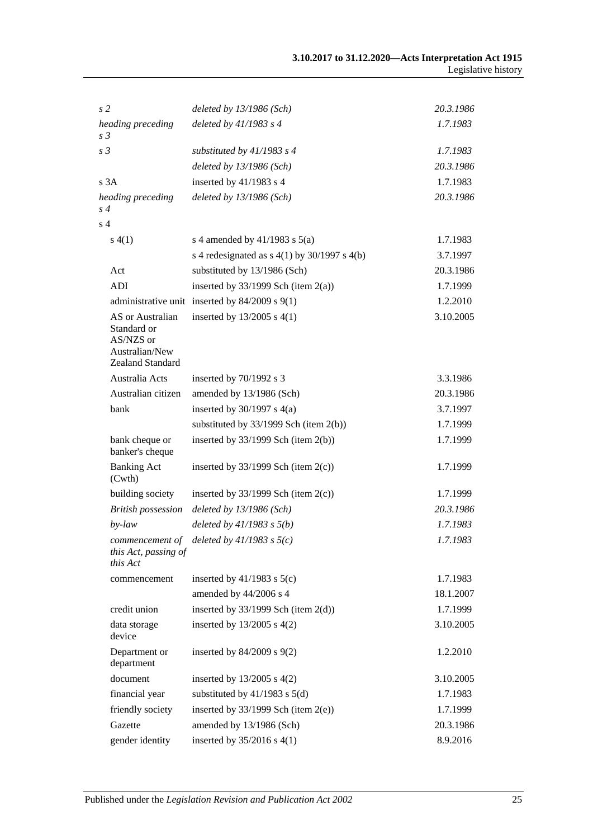| s <sub>2</sub>                                                                     | deleted by 13/1986 (Sch)                           | 20.3.1986 |
|------------------------------------------------------------------------------------|----------------------------------------------------|-----------|
| heading preceding                                                                  | deleted by 41/1983 s 4                             | 1.7.1983  |
| s <sub>3</sub>                                                                     |                                                    |           |
| s <sub>3</sub>                                                                     | substituted by $41/1983$ s 4                       | 1.7.1983  |
|                                                                                    | deleted by 13/1986 (Sch)                           | 20.3.1986 |
| s3A                                                                                | inserted by $41/1983$ s 4                          | 1.7.1983  |
| heading preceding<br>$s\,4$                                                        | deleted by $13/1986$ (Sch)                         | 20.3.1986 |
| s <sub>4</sub>                                                                     |                                                    |           |
| s(4(1))                                                                            | s 4 amended by $41/1983$ s $5(a)$                  | 1.7.1983  |
|                                                                                    | s 4 redesignated as $s$ 4(1) by 30/1997 s 4(b)     | 3.7.1997  |
| Act                                                                                | substituted by 13/1986 (Sch)                       | 20.3.1986 |
| ADI                                                                                | inserted by $33/1999$ Sch (item 2(a))              | 1.7.1999  |
|                                                                                    | administrative unit inserted by $84/2009$ s $9(1)$ | 1.2.2010  |
| AS or Australian<br>Standard or<br>AS/NZS or<br>Australian/New<br>Zealand Standard | inserted by $13/2005$ s $4(1)$                     | 3.10.2005 |
| Australia Acts                                                                     | inserted by $70/1992$ s 3                          | 3.3.1986  |
| Australian citizen                                                                 | amended by 13/1986 (Sch)                           | 20.3.1986 |
| bank                                                                               | inserted by $30/1997$ s $4(a)$                     | 3.7.1997  |
|                                                                                    | substituted by $33/1999$ Sch (item 2(b))           | 1.7.1999  |
| bank cheque or<br>banker's cheque                                                  | inserted by $33/1999$ Sch (item $2(b)$ )           | 1.7.1999  |
| <b>Banking Act</b><br>(Cwth)                                                       | inserted by $33/1999$ Sch (item $2(c)$ )           | 1.7.1999  |
| building society                                                                   | inserted by $33/1999$ Sch (item 2(c))              | 1.7.1999  |
| <b>British possession</b>                                                          | deleted by $13/1986$ (Sch)                         | 20.3.1986 |
| $by$ -law                                                                          | deleted by $41/1983$ s $5(b)$                      | 1.7.1983  |
| commencement of<br>this Act, passing of<br>this Act                                | deleted by $41/1983$ s $5(c)$                      | 1.7.1983  |
| commencement                                                                       | inserted by $41/1983$ s $5(c)$                     | 1.7.1983  |
|                                                                                    | amended by 44/2006 s 4                             | 18.1.2007 |
| credit union                                                                       | inserted by $33/1999$ Sch (item $2(d)$ )           | 1.7.1999  |
| data storage<br>device                                                             | inserted by $13/2005$ s $4(2)$                     | 3.10.2005 |
| Department or<br>department                                                        | inserted by 84/2009 s 9(2)                         | 1.2.2010  |
| document                                                                           | inserted by $13/2005$ s $4(2)$                     | 3.10.2005 |
| financial year                                                                     | substituted by $41/1983$ s $5(d)$                  | 1.7.1983  |
| friendly society                                                                   | inserted by $33/1999$ Sch (item $2(e)$ )           | 1.7.1999  |
| Gazette                                                                            | amended by 13/1986 (Sch)                           | 20.3.1986 |
| gender identity                                                                    | inserted by $35/2016$ s 4(1)                       | 8.9.2016  |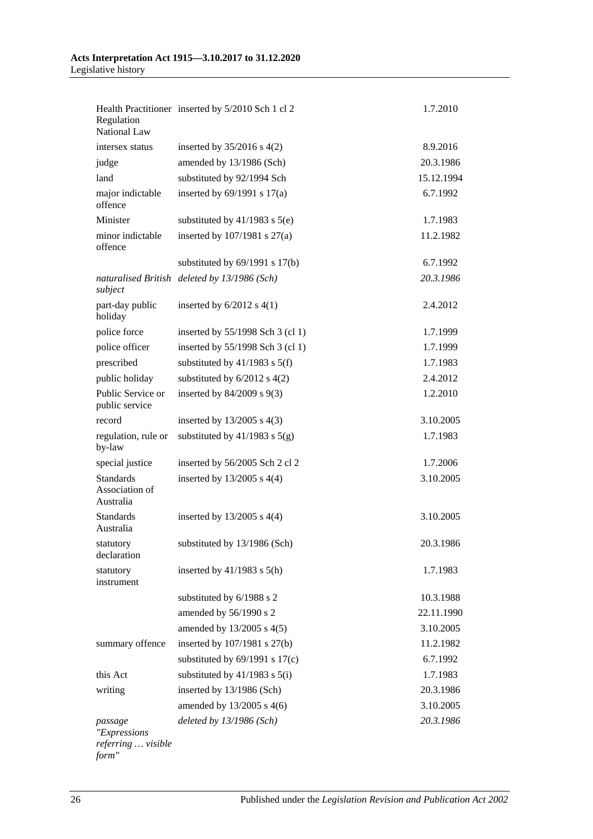| Regulation<br><b>National Law</b>                      | Health Practitioner inserted by 5/2010 Sch 1 cl 2 | 1.7.2010   |
|--------------------------------------------------------|---------------------------------------------------|------------|
| intersex status                                        | inserted by $35/2016$ s 4(2)                      | 8.9.2016   |
| judge                                                  | amended by 13/1986 (Sch)                          | 20.3.1986  |
| land                                                   | substituted by 92/1994 Sch                        | 15.12.1994 |
| major indictable<br>offence                            | inserted by $69/1991$ s $17(a)$                   | 6.7.1992   |
| Minister                                               | substituted by $41/1983$ s $5(e)$                 | 1.7.1983   |
| minor indictable<br>offence                            | inserted by $107/1981$ s $27(a)$                  | 11.2.1982  |
|                                                        | substituted by $69/1991$ s $17(b)$                | 6.7.1992   |
| subject                                                | naturalised British deleted by 13/1986 (Sch)      | 20.3.1986  |
| part-day public<br>holiday                             | inserted by $6/2012$ s $4(1)$                     | 2.4.2012   |
| police force                                           | inserted by $55/1998$ Sch 3 (cl 1)                | 1.7.1999   |
| police officer                                         | inserted by 55/1998 Sch 3 (cl 1)                  | 1.7.1999   |
| prescribed                                             | substituted by $41/1983$ s $5(f)$                 | 1.7.1983   |
| public holiday                                         | substituted by $6/2012$ s $4(2)$                  | 2.4.2012   |
| Public Service or<br>public service                    | inserted by $84/2009$ s $9(3)$                    | 1.2.2010   |
| record                                                 | inserted by $13/2005$ s $4(3)$                    | 3.10.2005  |
| regulation, rule or<br>by-law                          | substituted by $41/1983$ s $5(g)$                 | 1.7.1983   |
| special justice                                        | inserted by 56/2005 Sch 2 cl 2                    | 1.7.2006   |
| <b>Standards</b><br>Association of<br>Australia        | inserted by $13/2005$ s $4(4)$                    | 3.10.2005  |
| <b>Standards</b><br>Australia                          | inserted by $13/2005$ s $4(4)$                    | 3.10.2005  |
| statutory<br>declaration                               | substituted by 13/1986 (Sch)                      | 20.3.1986  |
| statutory<br>instrument                                | inserted by $41/1983$ s $5(h)$                    | 1.7.1983   |
|                                                        | substituted by 6/1988 s 2                         | 10.3.1988  |
|                                                        | amended by 56/1990 s 2                            | 22.11.1990 |
|                                                        | amended by 13/2005 s 4(5)                         | 3.10.2005  |
| summary offence                                        | inserted by 107/1981 s 27(b)                      | 11.2.1982  |
|                                                        | substituted by $69/1991$ s $17(c)$                | 6.7.1992   |
| this Act                                               | substituted by $41/1983$ s $5(i)$                 | 1.7.1983   |
| writing                                                | inserted by 13/1986 (Sch)                         | 20.3.1986  |
|                                                        | amended by 13/2005 s 4(6)                         | 3.10.2005  |
| passage<br>"Expressions<br>referring  visible<br>form" | deleted by $13/1986$ (Sch)                        | 20.3.1986  |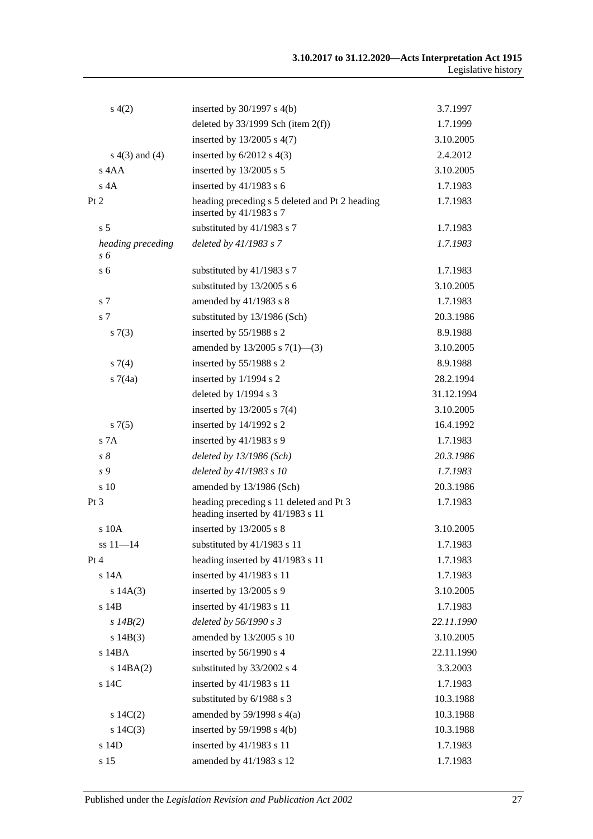| s(4(2)                   | inserted by $30/1997$ s $4(b)$                                              | 3.7.1997   |
|--------------------------|-----------------------------------------------------------------------------|------------|
|                          | deleted by $33/1999$ Sch (item $2(f)$ )                                     | 1.7.1999   |
|                          | inserted by $13/2005$ s $4(7)$                                              | 3.10.2005  |
| $s(4(3)$ and $(4)$       | inserted by $6/2012$ s $4(3)$                                               | 2.4.2012   |
| s 4AA                    | inserted by 13/2005 s 5                                                     | 3.10.2005  |
| $s$ 4A                   | inserted by $41/1983$ s 6                                                   | 1.7.1983   |
| Pt 2                     | heading preceding s 5 deleted and Pt 2 heading<br>inserted by 41/1983 s 7   | 1.7.1983   |
| s <sub>5</sub>           | substituted by 41/1983 s 7                                                  | 1.7.1983   |
| heading preceding<br>s 6 | deleted by 41/1983 s 7                                                      | 1.7.1983   |
| s <sub>6</sub>           | substituted by 41/1983 s 7                                                  | 1.7.1983   |
|                          | substituted by 13/2005 s 6                                                  | 3.10.2005  |
| s 7                      | amended by 41/1983 s 8                                                      | 1.7.1983   |
| s <sub>7</sub>           | substituted by 13/1986 (Sch)                                                | 20.3.1986  |
| s(7(3))                  | inserted by 55/1988 s 2                                                     | 8.9.1988   |
|                          | amended by $13/2005$ s $7(1)$ —(3)                                          | 3.10.2005  |
| $s \, 7(4)$              | inserted by 55/1988 s 2                                                     | 8.9.1988   |
| s7(4a)                   | inserted by 1/1994 s 2                                                      | 28.2.1994  |
|                          | deleted by 1/1994 s 3                                                       | 31.12.1994 |
|                          | inserted by $13/2005$ s $7(4)$                                              | 3.10.2005  |
| $s \, 7(5)$              | inserted by 14/1992 s 2                                                     | 16.4.1992  |
| S <sub>7A</sub>          | inserted by $41/1983$ s 9                                                   | 1.7.1983   |
| $s\,\delta$              | deleted by $13/1986$ (Sch)                                                  | 20.3.1986  |
| s <sub>9</sub>           | deleted by 41/1983 s 10                                                     | 1.7.1983   |
| s 10                     | amended by 13/1986 (Sch)                                                    | 20.3.1986  |
| Pt 3                     | heading preceding s 11 deleted and Pt 3<br>heading inserted by 41/1983 s 11 | 1.7.1983   |
| s 10A                    | inserted by 13/2005 s 8                                                     | 3.10.2005  |
| $ss 11 - 14$             | substituted by 41/1983 s 11                                                 | 1.7.1983   |
| Pt 4                     | heading inserted by 41/1983 s 11                                            | 1.7.1983   |
| s 14A                    | inserted by 41/1983 s 11                                                    | 1.7.1983   |
| s 14A(3)                 | inserted by 13/2005 s 9                                                     | 3.10.2005  |
| s 14B                    | inserted by 41/1983 s 11                                                    | 1.7.1983   |
| $s$ 14B(2)               | deleted by 56/1990 s 3                                                      | 22.11.1990 |
| s 14B(3)                 | amended by 13/2005 s 10                                                     | 3.10.2005  |
| s 14BA                   | inserted by 56/1990 s 4                                                     | 22.11.1990 |
| $s$ 14BA $(2)$           | substituted by 33/2002 s 4                                                  | 3.3.2003   |
| $\,$ s $14C$             | inserted by 41/1983 s 11                                                    | 1.7.1983   |
|                          | substituted by 6/1988 s 3                                                   | 10.3.1988  |
| $s \ 14C(2)$             | amended by $59/1998$ s $4(a)$                                               | 10.3.1988  |
| s $14C(3)$               | inserted by $59/1998$ s $4(b)$                                              | 10.3.1988  |
| s 14D                    | inserted by 41/1983 s 11                                                    | 1.7.1983   |
| s 15                     | amended by 41/1983 s 12                                                     | 1.7.1983   |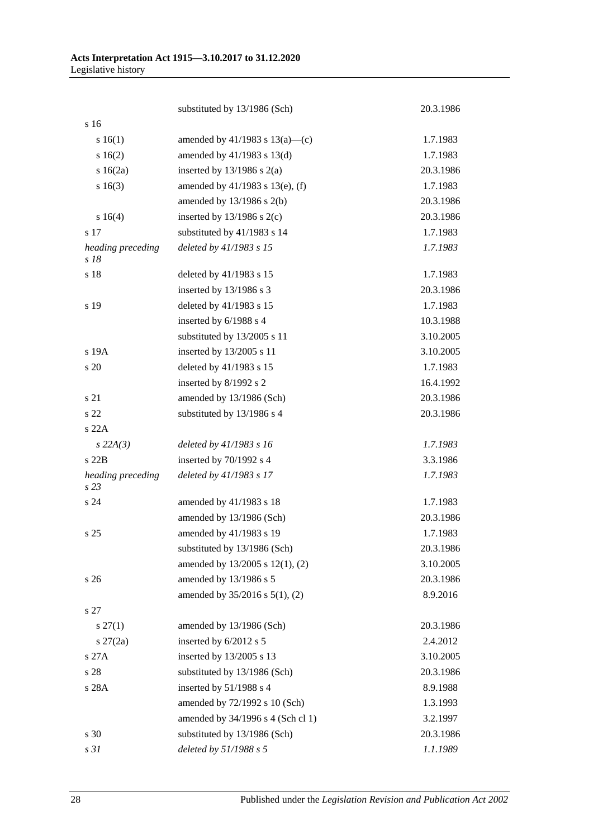|                           | substituted by 13/1986 (Sch)         | 20.3.1986 |
|---------------------------|--------------------------------------|-----------|
| s 16                      |                                      |           |
| s 16(1)                   | amended by $41/1983$ s $13(a)$ —(c)  | 1.7.1983  |
| s 16(2)                   | amended by $41/1983$ s $13(d)$       | 1.7.1983  |
| $s \ 16(2a)$              | inserted by $13/1986$ s $2(a)$       | 20.3.1986 |
| s16(3)                    | amended by $41/1983$ s $13(e)$ , (f) | 1.7.1983  |
|                           | amended by $13/1986$ s $2(b)$        | 20.3.1986 |
| s 16(4)                   | inserted by $13/1986$ s $2(c)$       | 20.3.1986 |
| s 17                      | substituted by 41/1983 s 14          | 1.7.1983  |
| heading preceding<br>s 18 | deleted by 41/1983 s 15              | 1.7.1983  |
| s 18                      | deleted by 41/1983 s 15              | 1.7.1983  |
|                           | inserted by 13/1986 s 3              | 20.3.1986 |
| s 19                      | deleted by 41/1983 s 15              | 1.7.1983  |
|                           | inserted by 6/1988 s 4               | 10.3.1988 |
|                           | substituted by 13/2005 s 11          | 3.10.2005 |
| s 19A                     | inserted by 13/2005 s 11             | 3.10.2005 |
| s 20                      | deleted by 41/1983 s 15              | 1.7.1983  |
|                           | inserted by 8/1992 s 2               | 16.4.1992 |
| s 21                      | amended by 13/1986 (Sch)             | 20.3.1986 |
| s 22                      | substituted by 13/1986 s 4           | 20.3.1986 |
| s22A                      |                                      |           |
| $s$ 22A(3)                | deleted by 41/1983 s 16              | 1.7.1983  |
| $s$ 22 $B$                | inserted by 70/1992 s 4              | 3.3.1986  |
| heading preceding<br>s23  | deleted by 41/1983 s 17              | 1.7.1983  |
| s 24                      | amended by 41/1983 s 18              | 1.7.1983  |
|                           | amended by 13/1986 (Sch)             | 20.3.1986 |
| s <sub>25</sub>           | amended by 41/1983 s 19              | 1.7.1983  |
|                           | substituted by 13/1986 (Sch)         | 20.3.1986 |
|                           | amended by 13/2005 s 12(1), (2)      | 3.10.2005 |
| s 26                      | amended by 13/1986 s 5               | 20.3.1986 |
|                           | amended by $35/2016$ s $5(1)$ , (2)  | 8.9.2016  |
| s 27                      |                                      |           |
| $s\,27(1)$                | amended by 13/1986 (Sch)             | 20.3.1986 |
| $s \, 27(2a)$             | inserted by 6/2012 s 5               | 2.4.2012  |
| s 27A                     | inserted by 13/2005 s 13             | 3.10.2005 |
| s 28                      | substituted by 13/1986 (Sch)         | 20.3.1986 |
| s 28A                     | inserted by 51/1988 s 4              | 8.9.1988  |
|                           | amended by 72/1992 s 10 (Sch)        | 1.3.1993  |
|                           | amended by 34/1996 s 4 (Sch cl 1)    | 3.2.1997  |
| s 30                      | substituted by 13/1986 (Sch)         | 20.3.1986 |
| s31                       | deleted by 51/1988 s 5               | 1.1.1989  |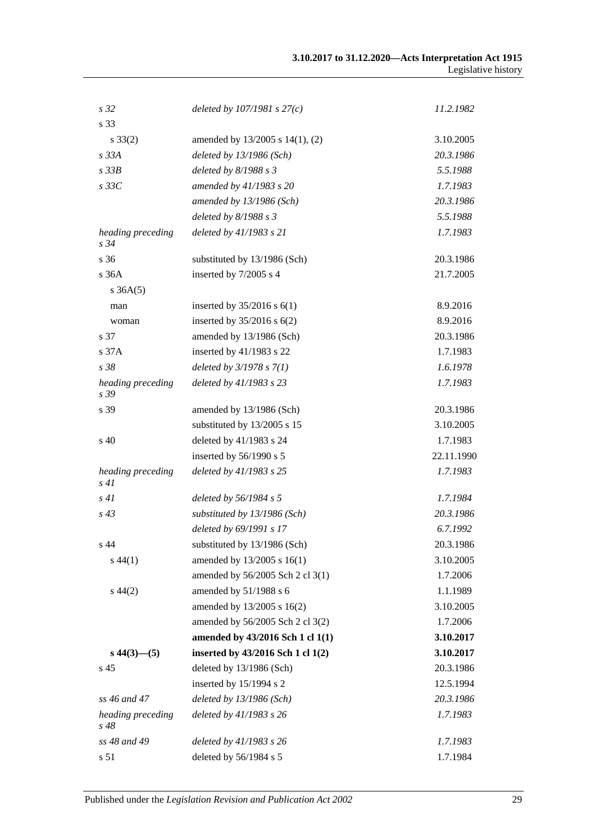| s <sub>32</sub>              | deleted by $107/1981 s 27(c)$     | 11.2.1982  |
|------------------------------|-----------------------------------|------------|
| s 33                         |                                   |            |
| $s \, 33(2)$                 | amended by 13/2005 s 14(1), (2)   | 3.10.2005  |
| $s$ 33 $A$                   | deleted by 13/1986 (Sch)          | 20.3.1986  |
| $s$ 33 $B$                   | deleted by $8/1988 s 3$           | 5.5.1988   |
| $s$ 33 $C$                   | amended by 41/1983 s 20           | 1.7.1983   |
|                              | amended by 13/1986 (Sch)          | 20.3.1986  |
|                              | deleted by $8/1988 s 3$           | 5.5.1988   |
| heading preceding<br>$s\,34$ | deleted by 41/1983 s 21           | 1.7.1983   |
| s 36                         | substituted by 13/1986 (Sch)      | 20.3.1986  |
| s 36A                        | inserted by 7/2005 s 4            | 21.7.2005  |
| $s \, 36A(5)$                |                                   |            |
| man                          | inserted by $35/2016$ s $6(1)$    | 8.9.2016   |
| woman                        | inserted by $35/2016$ s $6(2)$    | 8.9.2016   |
| s 37                         | amended by 13/1986 (Sch)          | 20.3.1986  |
| s37A                         | inserted by 41/1983 s 22          | 1.7.1983   |
| s 38                         | deleted by $3/1978 s 7(1)$        | 1.6.1978   |
| heading preceding<br>s 39    | deleted by 41/1983 s 23           | 1.7.1983   |
| s 39                         | amended by 13/1986 (Sch)          | 20.3.1986  |
|                              | substituted by 13/2005 s 15       | 3.10.2005  |
| $\sin 40$                    | deleted by 41/1983 s 24           | 1.7.1983   |
|                              | inserted by 56/1990 s 5           | 22.11.1990 |
| heading preceding<br>s41     | deleted by 41/1983 s 25           | 1.7.1983   |
| s41                          | deleted by 56/1984 s 5            | 1.7.1984   |
| $s\,43$                      | substituted by 13/1986 (Sch)      | 20.3.1986  |
|                              | deleted by 69/1991 s 17           | 6.7.1992   |
| s 44                         | substituted by 13/1986 (Sch)      | 20.3.1986  |
| $s\,44(1)$                   | amended by 13/2005 s 16(1)        | 3.10.2005  |
|                              | amended by 56/2005 Sch 2 cl 3(1)  | 1.7.2006   |
| $s\,44(2)$                   | amended by 51/1988 s 6            | 1.1.1989   |
|                              | amended by 13/2005 s 16(2)        | 3.10.2005  |
|                              | amended by 56/2005 Sch 2 cl 3(2)  | 1.7.2006   |
|                              | amended by 43/2016 Sch 1 cl 1(1)  | 3.10.2017  |
| $s\,44(3)$ - (5)             | inserted by 43/2016 Sch 1 cl 1(2) | 3.10.2017  |
| s 45                         | deleted by 13/1986 (Sch)          | 20.3.1986  |
|                              | inserted by 15/1994 s 2           | 12.5.1994  |
| ss 46 and 47                 | deleted by $13/1986$ (Sch)        | 20.3.1986  |
| heading preceding<br>$s\,48$ | deleted by 41/1983 s 26           | 1.7.1983   |
| ss 48 and 49                 | deleted by 41/1983 s 26           | 1.7.1983   |
| s 51                         | deleted by 56/1984 s 5            | 1.7.1984   |